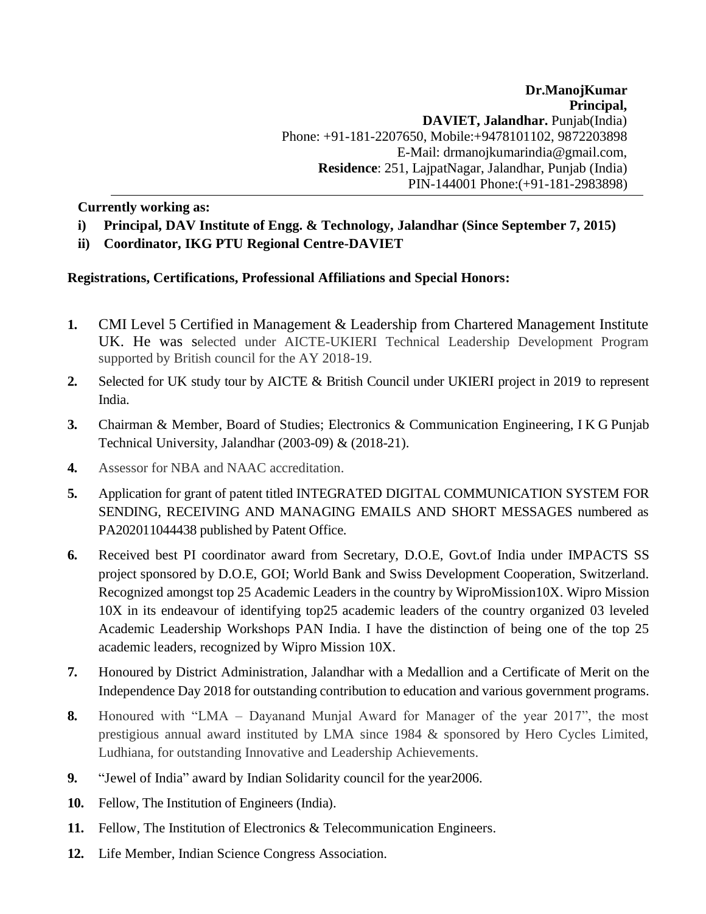**Dr.ManojKumar Principal, DAVIET, Jalandhar.** Punjab(India) Phone: +91-181-2207650, Mobile:+9478101102, 9872203898 E-M[ail: drmanojkumarindia@gmail.com,](mailto:drmanojkumarindia@gmail.com) **Residence**: 251, LajpatNagar, Jalandhar, Punjab (India) PIN-144001 Phone:(+91-181-2983898)

**Currently working as:**

- **i) Principal, DAV Institute of Engg. & Technology, Jalandhar (Since September 7, 2015)**
- **ii) Coordinator, IKG PTU Regional Centre-DAVIET**

# **Registrations, Certifications, Professional Affiliations and Special Honors:**

- **1.** CMI Level 5 Certified in Management & Leadership from Chartered Management Institute UK. He was selected under AICTE-UKIERI Technical Leadership Development Program supported by British council for the AY 2018-19.
- **2.** Selected for UK study tour by AICTE & British Council under UKIERI project in 2019 to represent India.
- **3.** Chairman & Member, Board of Studies; Electronics & Communication Engineering, I K G Punjab Technical University, Jalandhar (2003-09) & (2018-21).
- **4.** Assessor for NBA and NAAC accreditation.
- **5.** Application for grant of patent titled INTEGRATED DIGITAL COMMUNICATION SYSTEM FOR SENDING, RECEIVING AND MANAGING EMAILS AND SHORT MESSAGES numbered as PA202011044438 published by Patent Office.
- **6.** Received best PI coordinator award from Secretary, D.O.E, Govt.of India under IMPACTS SS project sponsored by D.O.E, GOI; World Bank and Swiss Development Cooperation, Switzerland. Recognized amongst top 25 Academic Leaders in the country by WiproMission10X. Wipro Mission 10X in its endeavour of identifying top25 academic leaders of the country organized 03 leveled Academic Leadership Workshops PAN India. I have the distinction of being one of the top 25 academic leaders, recognized by Wipro Mission 10X.
- **7.** Honoured by District Administration, Jalandhar with a Medallion and a Certificate of Merit on the Independence Day 2018 for outstanding contribution to education and various government programs.
- **8.** Honoured with "LMA Dayanand Munjal Award for Manager of the year 2017", the most prestigious annual award instituted by LMA since 1984 & sponsored by Hero Cycles Limited, Ludhiana, for outstanding Innovative and Leadership Achievements.
- **9.** "Jewel of India" award by Indian Solidarity council for the year2006.
- **10.** Fellow, The Institution of Engineers (India).
- **11.** Fellow, The Institution of Electronics & Telecommunication Engineers.
- **12.** Life Member, Indian Science Congress Association.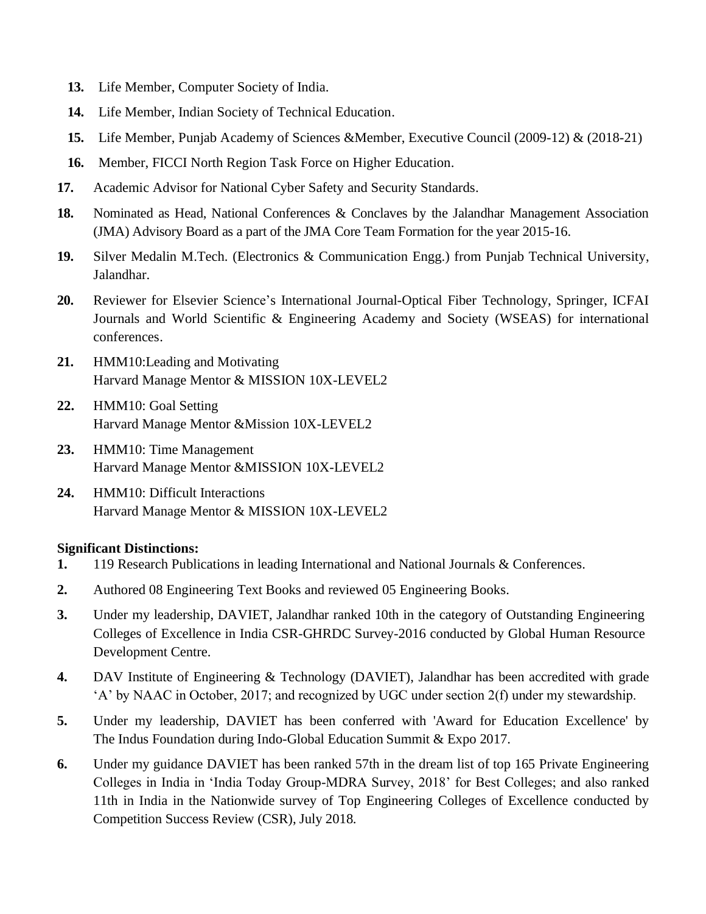- **13.** Life Member, Computer Society of India.
- **14.** Life Member, Indian Society of Technical Education.
- **15.** Life Member, Punjab Academy of Sciences &Member, Executive Council (2009-12) & (2018-21)
- **16.** Member, FICCI North Region Task Force on Higher Education.
- **17.** Academic Advisor for National Cyber Safety and Security Standards.
- **18.** Nominated as Head, National Conferences & Conclaves by the Jalandhar Management Association (JMA) Advisory Board as a part of the JMA Core Team Formation for the year 2015-16.
- **19.** Silver Medalin M.Tech. (Electronics & Communication Engg.) from Punjab Technical University, Jalandhar.
- **20.** Reviewer for Elsevier Science's International Journal-Optical Fiber Technology, Springer, ICFAI Journals and World Scientific & Engineering Academy and Society (WSEAS) for international conferences.
- **21.** HMM10:Leading and Motivating Harvard Manage Mentor & MISSION 10X-LEVEL2
- **22.** HMM10: Goal Setting Harvard Manage Mentor &Mission 10X-LEVEL2
- **23.** HMM10: Time Management Harvard Manage Mentor &MISSION 10X-LEVEL2
- **24.** HMM10: Difficult Interactions Harvard Manage Mentor & MISSION 10X-LEVEL2

# **Significant Distinctions:**

- **1.** 119 Research Publications in leading International and National Journals & Conferences.
- **2.** Authored 08 Engineering Text Books and reviewed 05 Engineering Books.
- **3.** Under my leadership, DAVIET, Jalandhar ranked 10th in the category of Outstanding Engineering Colleges of Excellence in India CSR-GHRDC Survey-2016 conducted by Global Human Resource Development Centre.
- **4.** DAV Institute of Engineering & Technology (DAVIET), Jalandhar has been accredited with grade 'A' by NAAC in October, 2017; and recognized by UGC under section 2(f) under my stewardship.
- **5.** Under my leadership, DAVIET has been conferred with 'Award for Education Excellence' by The Indus Foundation during Indo-Global Education Summit & Expo 2017.
- **6.** Under my guidance DAVIET has been ranked 57th in the dream list of top 165 Private Engineering Colleges in India in 'India Today Group-MDRA Survey, 2018' for Best Colleges; and also ranked 11th in India in the Nationwide survey of Top Engineering Colleges of Excellence conducted by Competition Success Review (CSR), July 2018.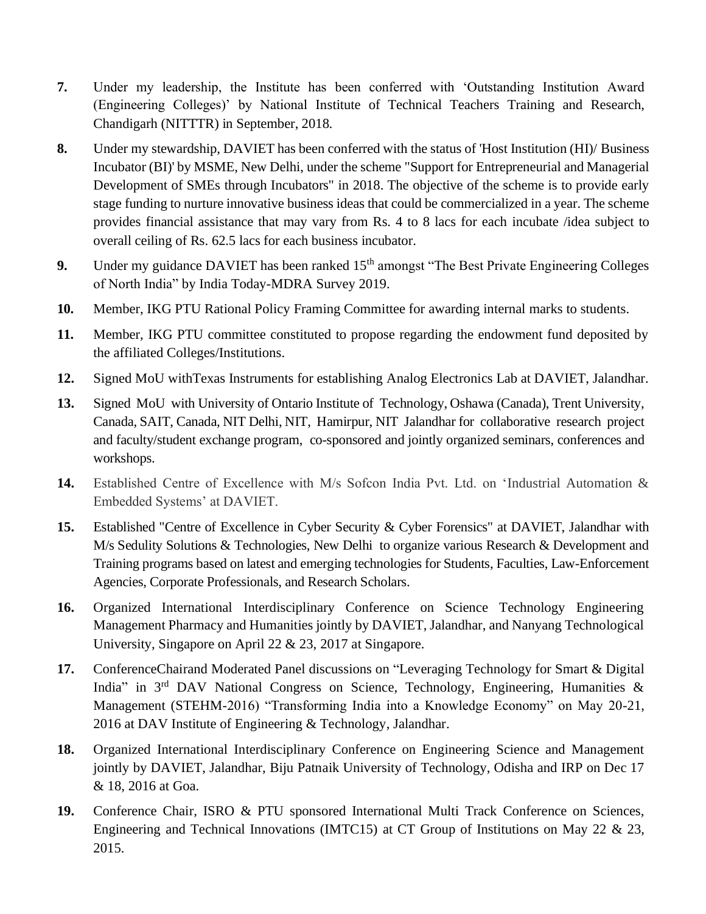- **7.** Under my leadership, the Institute has been conferred with 'Outstanding Institution Award (Engineering Colleges)' by National Institute of Technical Teachers Training and Research, Chandigarh (NITTTR) in September, 2018.
- **8.** Under my stewardship, DAVIET has been conferred with the status of 'Host Institution (HI)/ Business Incubator (BI)' by MSME, New Delhi, under the scheme "Support for Entrepreneurial and Managerial Development of SMEs through Incubators" in 2018. The objective of the scheme is to provide early stage funding to nurture innovative business ideas that could be commercialized in a year. The scheme provides financial assistance that may vary from Rs. 4 to 8 lacs for each incubate /idea subject to overall ceiling of Rs. 62.5 lacs for each business incubator.
- **9.** Under my guidance DAVIET has been ranked 15<sup>th</sup> amongst "The Best Private Engineering Colleges" of North India" by India Today-MDRA Survey 2019.
- **10.** Member, IKG PTU Rational Policy Framing Committee for awarding internal marks to students.
- **11.** Member, IKG PTU committee constituted to propose regarding the endowment fund deposited by the affiliated Colleges/Institutions.
- **12.** Signed MoU withTexas Instruments for establishing Analog Electronics Lab at DAVIET, Jalandhar.
- **13.** Signed MoU with University of Ontario Institute of Technology, Oshawa (Canada), Trent University, Canada, SAIT, Canada, NIT Delhi, NIT, Hamirpur, NIT Jalandhar for collaborative research project and faculty/student exchange program, co-sponsored and jointly organized seminars, conferences and workshops.
- **14.** Established Centre of Excellence with M/s Sofcon India Pvt. Ltd. on 'Industrial Automation & Embedded Systems' at DAVIET.
- **15.** Established "Centre of Excellence in Cyber Security & Cyber Forensics" at DAVIET, Jalandhar with M/s Sedulity Solutions & Technologies, New Delhi to organize various Research & Development and Training programs based on latest and emerging technologies for Students, Faculties, Law-Enforcement Agencies, Corporate Professionals, and Research Scholars.
- **16.** Organized International Interdisciplinary Conference on Science Technology Engineering Management Pharmacy and Humanities jointly by DAVIET, Jalandhar, and Nanyang Technological University, Singapore on April 22 & 23, 2017 at Singapore.
- **17.** ConferenceChairand Moderated Panel discussions on "Leveraging Technology for Smart & Digital India" in 3<sup>rd</sup> DAV National Congress on Science, Technology, Engineering, Humanities & Management (STEHM-2016) "Transforming India into a Knowledge Economy" on May 20-21, 2016 at DAV Institute of Engineering & Technology, Jalandhar.
- **18.** Organized International Interdisciplinary Conference on Engineering Science and Management jointly by DAVIET, Jalandhar, Biju Patnaik University of Technology, Odisha and IRP on Dec 17 & 18, 2016 at Goa.
- **19.** Conference Chair, ISRO & PTU sponsored International Multi Track Conference on Sciences, Engineering and Technical Innovations (IMTC15) at CT Group of Institutions on May 22 & 23, 2015.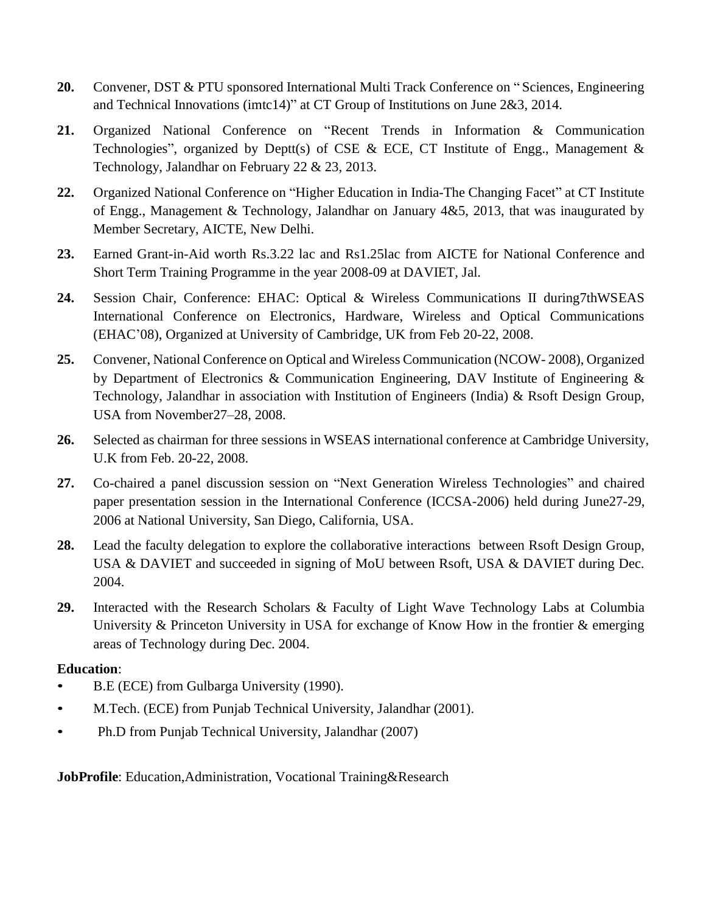- **20.** Convener, DST & PTU sponsored International Multi Track Conference on " Sciences, Engineering and Technical Innovations (imtc14)" at CT Group of Institutions on June 2&3, 2014.
- **21.** Organized National Conference on "Recent Trends in Information & Communication Technologies", organized by Deptt(s) of CSE & ECE, CT Institute of Engg., Management  $\&$ Technology, Jalandhar on February 22 & 23, 2013.
- **22.** Organized National Conference on "Higher Education in India-The Changing Facet" at CT Institute of Engg., Management & Technology, Jalandhar on January 4&5, 2013, that was inaugurated by Member Secretary, AICTE, New Delhi.
- **23.** Earned Grant-in-Aid worth Rs.3.22 lac and Rs1.25lac from AICTE for National Conference and Short Term Training Programme in the year 2008-09 at DAVIET, Jal.
- **24.** Session Chair, Conference: EHAC: Optical & Wireless Communications II during7thWSEAS International Conference on Electronics, Hardware, Wireless and Optical Communications (EHAC'08), Organized at University of Cambridge, UK from Feb 20-22, 2008.
- **25.** Convener, National Conference on Optical and Wireless Communication (NCOW- 2008), Organized by Department of Electronics & Communication Engineering, DAV Institute of Engineering & Technology, Jalandhar in association with Institution of Engineers (India) & Rsoft Design Group, USA from November27–28, 2008.
- **26.** Selected as chairman for three sessions in WSEAS international conference at Cambridge University, U.K from Feb. 20-22, 2008.
- **27.** Co-chaired a panel discussion session on "Next Generation Wireless Technologies" and chaired paper presentation session in the International Conference (ICCSA-2006) held during June27-29, 2006 at National University, San Diego, California, USA.
- **28.** Lead the faculty delegation to explore the collaborative interactions between Rsoft Design Group, USA & DAVIET and succeeded in signing of MoU between Rsoft, USA & DAVIET during Dec. 2004.
- **29.** Interacted with the Research Scholars & Faculty of Light Wave Technology Labs at Columbia University & Princeton University in USA for exchange of Know How in the frontier & emerging areas of Technology during Dec. 2004.

# **Education**:

- B.E (ECE) from Gulbarga University (1990).
- M.Tech. (ECE) from Punjab Technical University, Jalandhar (2001).
- Ph.D from Punjab Technical University, Jalandhar (2007)

**JobProfile**: Education,Administration, Vocational Training&Research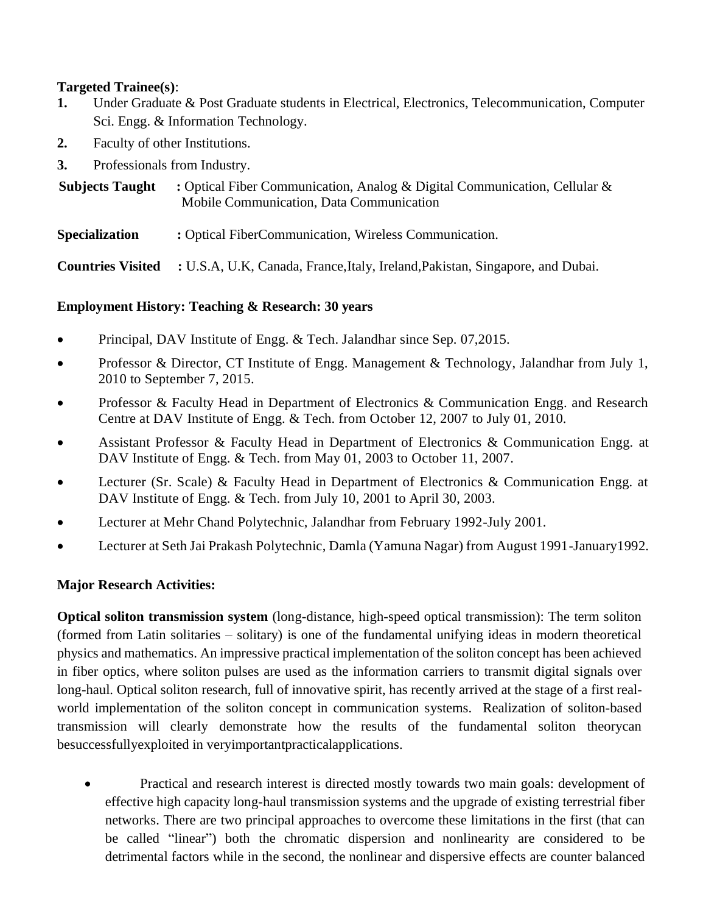# **Targeted Trainee(s)**:

- **1.** Under Graduate & Post Graduate students in Electrical, Electronics, Telecommunication, Computer Sci. Engg. & Information Technology.
- **2.** Faculty of other Institutions.
- **3.** Professionals from Industry.

**Subjects Taught :** Optical Fiber Communication, Analog & Digital Communication, Cellular & Mobile Communication, Data Communication

**Specialization :** Optical FiberCommunication, Wireless Communication.

**Countries Visited :** U.S.A, U.K, Canada, France,Italy, Ireland,Pakistan, Singapore, and Dubai.

# **Employment History: Teaching & Research: 30 years**

- Principal, DAV Institute of Engg. & Tech. Jalandhar since Sep. 07,2015.
- Professor & Director, CT Institute of Engg. Management & Technology, Jalandhar from July 1, 2010 to September 7, 2015.
- Professor & Faculty Head in Department of Electronics & Communication Engg. and Research Centre at DAV Institute of Engg. & Tech. from October 12, 2007 to July 01, 2010.
- Assistant Professor & Faculty Head in Department of Electronics & Communication Engg. at DAV Institute of Engg. & Tech. from May 01, 2003 to October 11, 2007.
- Lecturer (Sr. Scale) & Faculty Head in Department of Electronics & Communication Engg. at DAV Institute of Engg. & Tech. from July 10, 2001 to April 30, 2003.
- Lecturer at Mehr Chand Polytechnic, Jalandhar from February 1992-July 2001.
- Lecturer at Seth Jai Prakash Polytechnic, Damla (Yamuna Nagar) from August 1991-January1992.

# **Major Research Activities:**

**Optical soliton transmission system** (long-distance, high-speed optical transmission): The term soliton (formed from Latin solitaries – solitary) is one of the fundamental unifying ideas in modern theoretical physics and mathematics. An impressive practical implementation of the soliton concept has been achieved in fiber optics, where soliton pulses are used as the information carriers to transmit digital signals over long-haul. Optical soliton research, full of innovative spirit, has recently arrived at the stage of a first realworld implementation of the soliton concept in communication systems. Realization of soliton-based transmission will clearly demonstrate how the results of the fundamental soliton theorycan besuccessfullyexploited in veryimportantpracticalapplications.

• Practical and research interest is directed mostly towards two main goals: development of effective high capacity long-haul transmission systems and the upgrade of existing terrestrial fiber networks. There are two principal approaches to overcome these limitations in the first (that can be called "linear") both the chromatic dispersion and nonlinearity are considered to be detrimental factors while in the second, the nonlinear and dispersive effects are counter balanced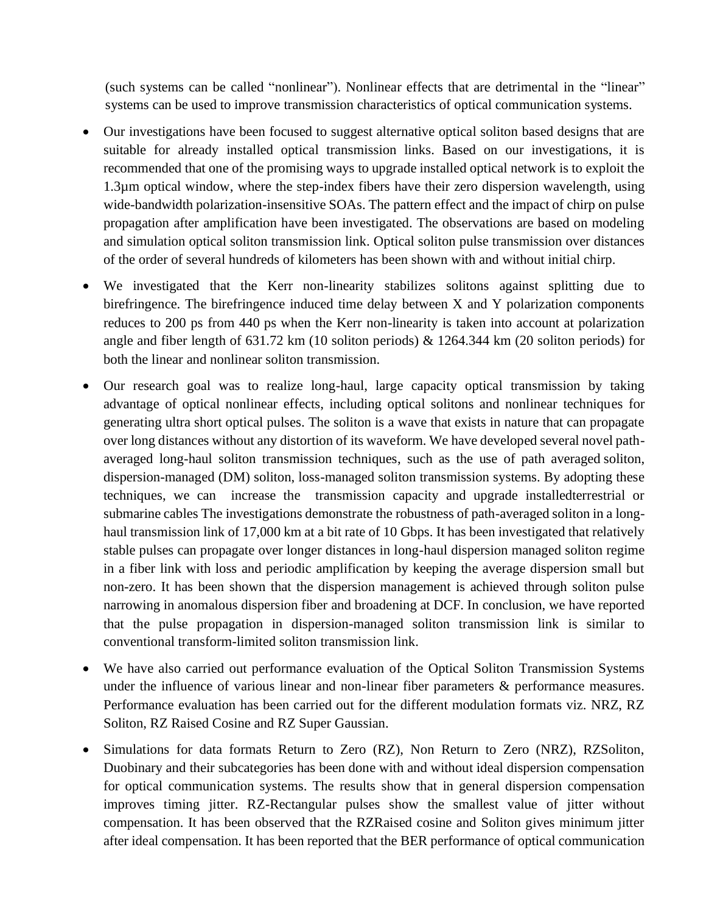(such systems can be called "nonlinear"). Nonlinear effects that are detrimental in the "linear" systems can be used to improve transmission characteristics of optical communication systems.

- Our investigations have been focused to suggest alternative optical soliton based designs that are suitable for already installed optical transmission links. Based on our investigations, it is recommended that one of the promising ways to upgrade installed optical network is to exploit the 1.3µm optical window, where the step-index fibers have their zero dispersion wavelength, using wide-bandwidth polarization-insensitive SOAs. The pattern effect and the impact of chirp on pulse propagation after amplification have been investigated. The observations are based on modeling and simulation optical soliton transmission link. Optical soliton pulse transmission over distances of the order of several hundreds of kilometers has been shown with and without initial chirp.
- We investigated that the Kerr non-linearity stabilizes solitons against splitting due to birefringence. The birefringence induced time delay between X and Y polarization components reduces to 200 ps from 440 ps when the Kerr non-linearity is taken into account at polarization angle and fiber length of 631.72 km (10 soliton periods) & 1264.344 km (20 soliton periods) for both the linear and nonlinear soliton transmission.
- Our research goal was to realize long-haul, large capacity optical transmission by taking advantage of optical nonlinear effects, including optical solitons and nonlinear techniques for generating ultra short optical pulses. The soliton is a wave that exists in nature that can propagate over long distances without any distortion of its waveform. We have developed several novel pathaveraged long-haul soliton transmission techniques, such as the use of path averaged soliton, dispersion-managed (DM) soliton, loss-managed soliton transmission systems. By adopting these techniques, we can increase the transmission capacity and upgrade installedterrestrial or submarine cables The investigations demonstrate the robustness of path-averaged soliton in a longhaul transmission link of 17,000 km at a bit rate of 10 Gbps. It has been investigated that relatively stable pulses can propagate over longer distances in long-haul dispersion managed soliton regime in a fiber link with loss and periodic amplification by keeping the average dispersion small but non-zero. It has been shown that the dispersion management is achieved through soliton pulse narrowing in anomalous dispersion fiber and broadening at DCF. In conclusion, we have reported that the pulse propagation in dispersion-managed soliton transmission link is similar to conventional transform-limited soliton transmission link.
- We have also carried out performance evaluation of the Optical Soliton Transmission Systems under the influence of various linear and non-linear fiber parameters & performance measures. Performance evaluation has been carried out for the different modulation formats viz. NRZ, RZ Soliton, RZ Raised Cosine and RZ Super Gaussian.
- Simulations for data formats Return to Zero (RZ), Non Return to Zero (NRZ), RZSoliton, Duobinary and their subcategories has been done with and without ideal dispersion compensation for optical communication systems. The results show that in general dispersion compensation improves timing jitter. RZ-Rectangular pulses show the smallest value of jitter without compensation. It has been observed that the RZRaised cosine and Soliton gives minimum jitter after ideal compensation. It has been reported that the BER performance of optical communication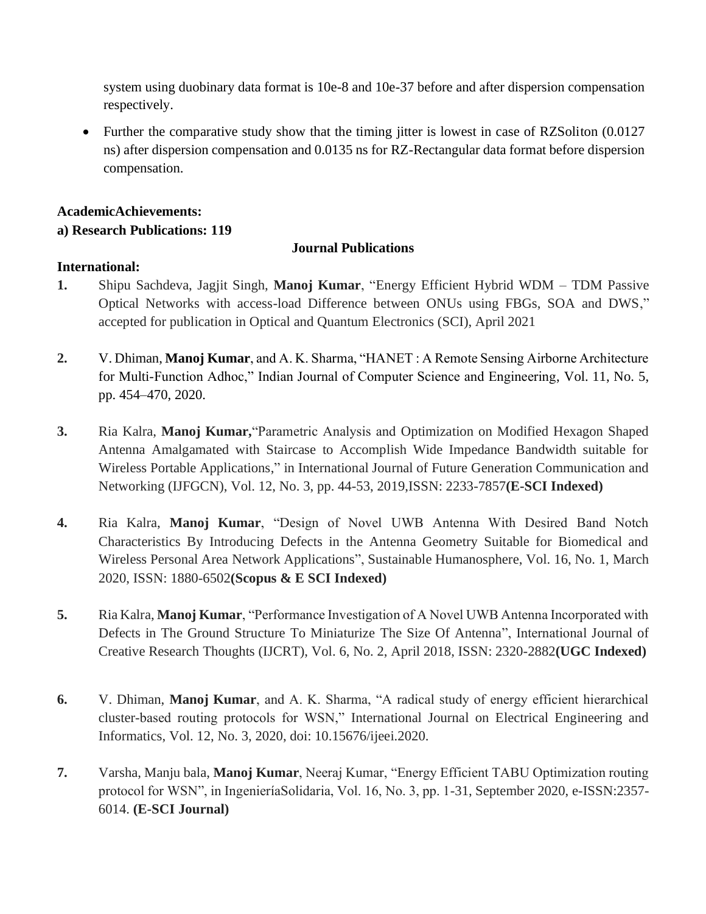system using duobinary data format is 10e-8 and 10e-37 before and after dispersion compensation respectively.

Further the comparative study show that the timing jitter is lowest in case of RZSoliton (0.0127) ns) after dispersion compensation and 0.0135 ns for RZ-Rectangular data format before dispersion compensation.

# **AcademicAchievements: a) Research Publications: 119**

# **Journal Publications**

# **International:**

- **1.** Shipu Sachdeva, Jagjit Singh, **Manoj Kumar**, "Energy Efficient Hybrid WDM TDM Passive Optical Networks with access-load Difference between ONUs using FBGs, SOA and DWS," accepted for publication in Optical and Quantum Electronics (SCI), April 2021
- **2.** V. Dhiman, **Manoj Kumar**, and A. K. Sharma, "HANET : A Remote Sensing Airborne Architecture for Multi-Function Adhoc," Indian Journal of Computer Science and Engineering, Vol. 11, No. 5, pp. 454–470, 2020.
- **3.** Ria Kalra, **Manoj Kumar,**"Parametric Analysis and Optimization on Modified Hexagon Shaped Antenna Amalgamated with Staircase to Accomplish Wide Impedance Bandwidth suitable for Wireless Portable Applications," in International Journal of Future Generation Communication and Networking (IJFGCN), Vol. 12, No. 3, pp. 44-53, 2019,ISSN: 2233-7857**(E-SCI Indexed)**
- **4.** Ria Kalra, **Manoj Kumar**, "Design of Novel UWB Antenna With Desired Band Notch Characteristics By Introducing Defects in the Antenna Geometry Suitable for Biomedical and Wireless Personal Area Network Applications", Sustainable Humanosphere, Vol. 16, No. 1, March 2020, ISSN: 1880-6502**(Scopus & E SCI Indexed)**
- **5.** Ria Kalra, **Manoj Kumar**, "Performance Investigation of A Novel UWB Antenna Incorporated with Defects in The Ground Structure To Miniaturize The Size Of Antenna", International Journal of Creative Research Thoughts (IJCRT), Vol. 6, No. 2, April 2018, ISSN: 2320-2882**(UGC Indexed)**
- **6.** V. Dhiman, **Manoj Kumar**, and A. K. Sharma, "A radical study of energy efficient hierarchical cluster-based routing protocols for WSN," International Journal on Electrical Engineering and Informatics, Vol. 12, No. 3, 2020, doi: 10.15676/ijeei.2020.
- **7.** Varsha, Manju bala, **Manoj Kumar**, Neeraj Kumar, "Energy Efficient TABU Optimization routing protocol for WSN", in IngenieríaSolidaria, Vol. 16, No. 3, pp. 1-31, September 2020, e-ISSN:2357- 6014. **(E-SCI Journal)**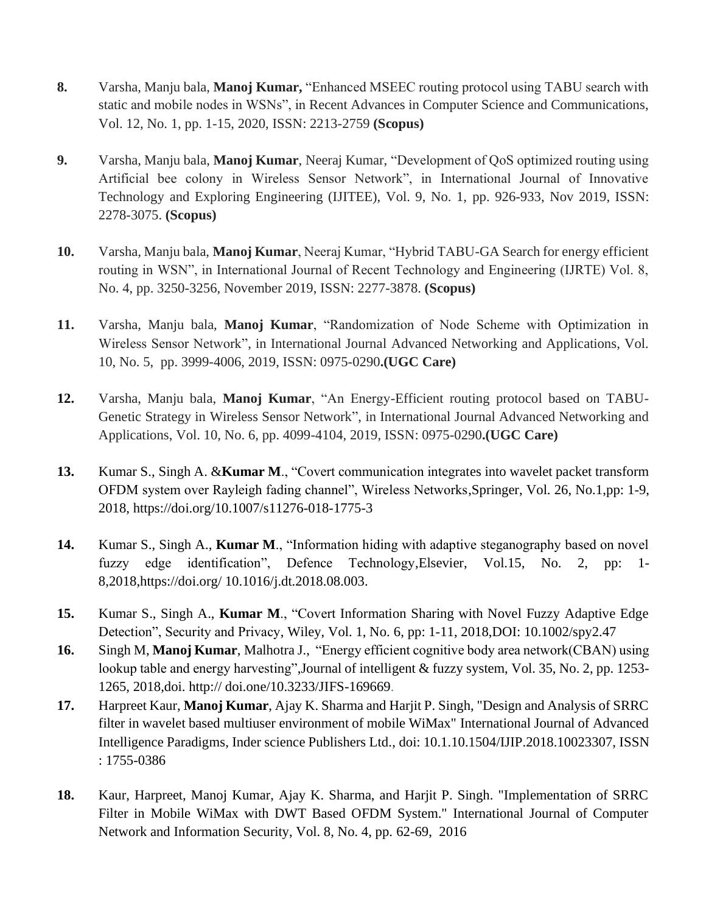- **8.** Varsha, Manju bala, **Manoj Kumar,** "Enhanced MSEEC routing protocol using TABU search with static and mobile nodes in WSNs", in Recent Advances in Computer Science and Communications, Vol. 12, No. 1, pp. 1-15, 2020, ISSN: 2213-2759 **(Scopus)**
- **9.** Varsha, Manju bala, **Manoj Kumar**, Neeraj Kumar, "Development of QoS optimized routing using Artificial bee colony in Wireless Sensor Network", in International Journal of Innovative Technology and Exploring Engineering (IJITEE), Vol. 9, No. 1, pp. 926-933, Nov 2019, ISSN: 2278-3075. **(Scopus)**
- **10.** Varsha, Manju bala, **Manoj Kumar**, Neeraj Kumar, "Hybrid TABU-GA Search for energy efficient routing in WSN", in International Journal of Recent Technology and Engineering (IJRTE) Vol. 8, No. 4, pp. 3250-3256, November 2019, ISSN: 2277-3878. **(Scopus)**
- **11.** Varsha, Manju bala, **Manoj Kumar**, "Randomization of Node Scheme with Optimization in Wireless Sensor Network", in International Journal Advanced Networking and Applications, Vol. 10, No. 5, pp. 3999-4006, 2019, ISSN: 0975-0290**.(UGC Care)**
- **12.** Varsha, Manju bala, **Manoj Kumar**, "An Energy-Efficient routing protocol based on TABU-Genetic Strategy in Wireless Sensor Network", in International Journal Advanced Networking and Applications, Vol. 10, No. 6, pp. 4099-4104, 2019, ISSN: 0975-0290**.(UGC Care)**
- **13.** Kumar S., Singh A. &**Kumar M**., "Covert communication integrates into wavelet packet transform OFDM system over Rayleigh fading channel", Wireless Networks,Springer, Vol. 26, No.1,pp: 1-9, 2018, https://doi.org/10.1007/s11276-018-1775-3
- **14.** Kumar S., Singh A., **Kumar M**., "Information hiding with adaptive steganography based on novel fuzzy edge identification", Defence Technology,Elsevier, Vol.15, No. 2, pp: 1- 8,2018,https://doi.org/ 10.1016/j.dt.2018.08.003.
- **15.** Kumar S., Singh A., **Kumar M**., "Covert Information Sharing with Novel Fuzzy Adaptive Edge Detection", Security and Privacy, Wiley, Vol. 1, No. 6, pp: 1-11, 2018,DOI: 10.1002/spy2.47
- **16.** Singh M, **Manoj Kumar**, Malhotra J., "Energy efficient cognitive body area network(CBAN) using lookup table and energy harvesting",Journal of intelligent & fuzzy system, Vol. 35, No. 2, pp. 1253- 1265, 2018,doi. http:// doi.one/10.3233/JIFS-169669.
- **17.** Harpreet Kaur, **Manoj Kumar**, Ajay K. Sharma and Harjit P. Singh, "Design and Analysis of SRRC filter in wavelet based multiuser environment of mobile WiMax" International Journal of Advanced Intelligence Paradigms, Inder science Publishers Ltd., doi: 10.1.10.1504/IJIP.2018.10023307, ISSN : 1755-0386
- **18.** Kaur, Harpreet, Manoj Kumar, Ajay K. Sharma, and Harjit P. Singh. "Implementation of SRRC Filter in Mobile WiMax with DWT Based OFDM System." International Journal of Computer Network and Information Security, Vol. 8, No. 4, pp. 62-69, 2016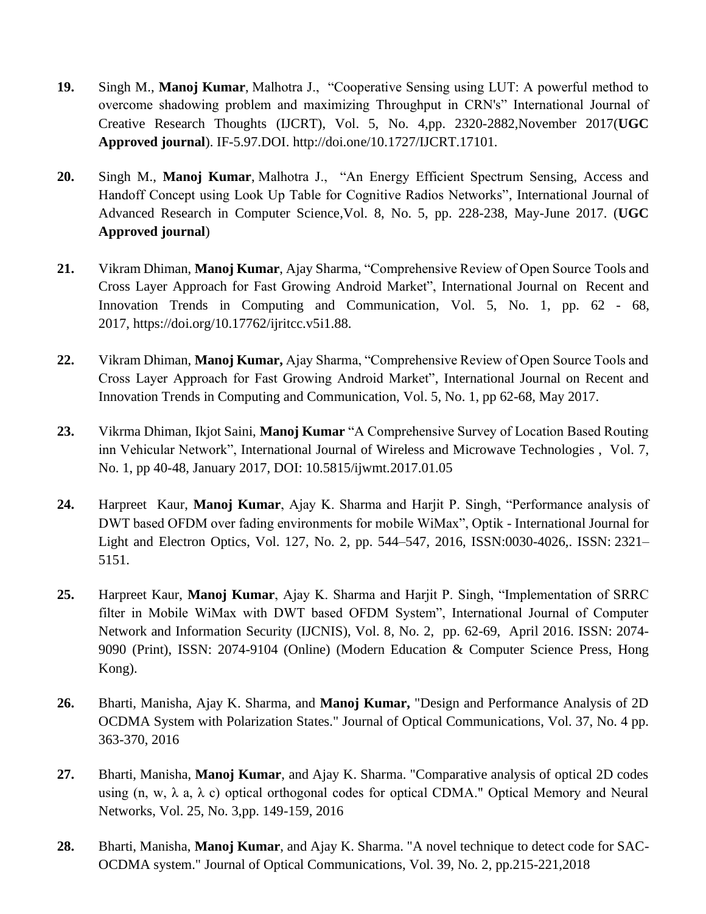- **19.** Singh M., **Manoj Kumar**, Malhotra J., "Cooperative Sensing using LUT: A powerful method to overcome shadowing problem and maximizing Throughput in CRN's" International Journal of Creative Research Thoughts (IJCRT), Vol. 5, No. 4,pp. 2320-2882,November 2017(**UGC Approved journal**). IF-5.97.DOI.<http://doi.one/10.1727/IJCRT.17101>*.*
- **20.** Singh M., **Manoj Kumar**, Malhotra J., "An Energy Efficient Spectrum Sensing, Access and Handoff Concept using Look Up Table for Cognitive Radios Networks", International Journal of Advanced Research in Computer Science,Vol. 8, No. 5, pp. 228-238, May-June 2017. (**UGC Approved journal**)
- **21.** Vikram Dhiman, **Manoj Kumar**, Ajay Sharma, "Comprehensive Review of Open Source Tools and Cross Layer Approach for Fast Growing Android Market", International Journal on Recent and Innovation Trends in Computing and Communication, Vol. 5, No. 1, pp. 62 - 68, 2017, https://doi.org/10.17762/ijritcc.v5i1.88.
- **22.** Vikram Dhiman, **Manoj Kumar,** Ajay Sharma, "Comprehensive Review of Open Source Tools and Cross Layer Approach for Fast Growing Android Market", International Journal on Recent and Innovation Trends in Computing and Communication, Vol. 5, No. 1, pp 62-68, May 2017.
- **23.** Vikrma Dhiman, Ikjot Saini, **Manoj Kumar** "A Comprehensive Survey of Location Based Routing inn Vehicular Network", [International Journal of Wireless and Microwave Technologies](https://www.researchgate.net/journal/2076-1449_International_Journal_of_Wireless_and_Microwave_Technologies) , Vol. 7, No. 1, pp 40-48, January 2017, DOI: 10.5815/ijwmt.2017.01.05
- **24.** Harpreet Kaur, **Manoj Kumar**, Ajay K. Sharma and Harjit P. Singh, "Performance analysis of DWT based OFDM over fading environments for mobile WiMax", Optik - International Journal for Light and Electron Optics, Vol. 127, No. 2, pp. 544–547, 2016, ISSN:0030-4026,. ISSN: 2321– 5151.
- **25.** Harpreet Kaur, **Manoj Kumar**, Ajay K. Sharma and Harjit P. Singh, "Implementation of SRRC filter in Mobile WiMax with DWT based OFDM System", International Journal of Computer Network and Information Security (IJCNIS), Vol. 8, No. 2, pp. 62-69, April 2016. ISSN: 2074- 9090 (Print), ISSN: 2074-9104 (Online) (Modern Education & Computer Science Press, Hong Kong).
- **26.** Bharti, Manisha, Ajay K. Sharma, and **Manoj Kumar,** "Design and Performance Analysis of 2D OCDMA System with Polarization States." Journal of Optical Communications, Vol. 37, No. 4 pp. 363-370, 2016
- **27.** Bharti, Manisha, **Manoj Kumar**, and Ajay K. Sharma. "Comparative analysis of optical 2D codes using  $(n, w, \lambda a, \lambda c)$  optical orthogonal codes for optical CDMA." Optical Memory and Neural Networks, Vol. 25, No. 3,pp. 149-159, 2016
- **28.** Bharti, Manisha, **Manoj Kumar**, and Ajay K. Sharma. "A novel technique to detect code for SAC-OCDMA system." Journal of Optical Communications, Vol. 39, No. 2, pp.215-221,2018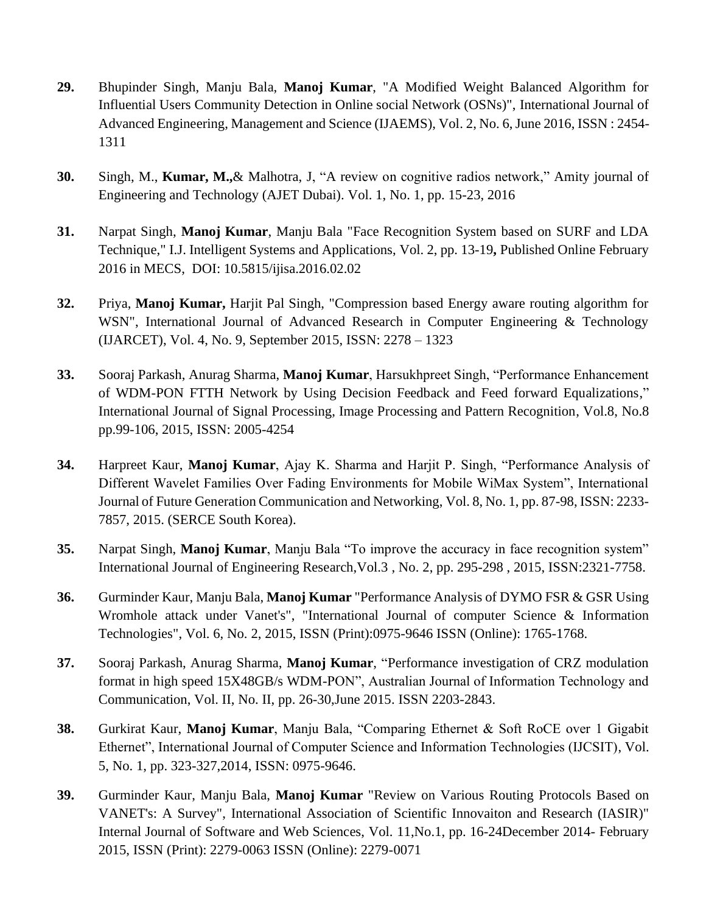- **29.** Bhupinder Singh, Manju Bala, **Manoj Kumar**, "A Modified Weight Balanced Algorithm for Influential Users Community Detection in Online social Network (OSNs)", International Journal of Advanced Engineering, Management and Science (IJAEMS), Vol. 2, No. 6, June 2016, ISSN : 2454- 1311
- **30.** Singh, M., **Kumar, M.,**& Malhotra, J, "A review on cognitive radios network," Amity journal of Engineering and Technology (AJET Dubai). Vol. 1, No. 1, pp. 15-23, 2016
- **31.** Narpat Singh, **Manoj Kumar**, Manju Bala "Face Recognition System based on SURF and LDA Technique," I.J. Intelligent Systems and Applications, Vol. 2, pp. 13-19**,** Published Online February 2016 in MECS, DOI: 10.5815/ijisa.2016.02.02
- **32.** Priya, **Manoj Kumar,** Harjit Pal Singh, "Compression based Energy aware routing algorithm for WSN", International Journal of Advanced Research in Computer Engineering & Technology (IJARCET), Vol. 4, No. 9, September 2015, ISSN: 2278 – 1323
- **33.** Sooraj Parkash, Anurag Sharma, **Manoj Kumar**, Harsukhpreet Singh, "Performance Enhancement of WDM-PON FTTH Network by Using Decision Feedback and Feed forward Equalizations," International Journal of Signal Processing, Image Processing and Pattern Recognition, Vol.8, No.8 pp.99-106, 2015, ISSN: 2005-4254
- **34.** Harpreet Kaur, **Manoj Kumar**, Ajay K. Sharma and Harjit P. Singh, "Performance Analysis of Different Wavelet Families Over Fading Environments for Mobile WiMax System", International Journal of Future Generation Communication and Networking, Vol. 8, No. 1, pp. 87-98, ISSN: 2233- 7857, 2015. (SERCE South Korea).
- **35.** Narpat Singh, **Manoj Kumar**, Manju Bala "To improve the accuracy in face recognition system" International Journal of Engineering Research,Vol.3 , No. 2, pp. 295-298 , 2015, ISSN:2321-7758.
- **36.** Gurminder Kaur, Manju Bala, **Manoj Kumar** "Performance Analysis of DYMO FSR & GSR Using Wromhole attack under Vanet's", "International Journal of computer Science & Information Technologies", Vol. 6, No. 2, 2015, ISSN (Print):0975-9646 ISSN (Online): 1765-1768.
- **37.** Sooraj Parkash, Anurag Sharma, **Manoj Kumar**, "Performance investigation of CRZ modulation format in high speed 15X48GB/s WDM-PON", Australian Journal of Information Technology and Communication, Vol. II, No. II, pp. 26-30,June 2015. ISSN 2203-2843.
- **38.** Gurkirat Kaur, **Manoj Kumar**, Manju Bala, "Comparing Ethernet & Soft RoCE over 1 Gigabit Ethernet", International Journal of Computer Science and Information Technologies (IJCSIT), Vol. 5, No. 1, pp. 323-327,2014, ISSN: 0975-9646.
- **39.** Gurminder Kaur, Manju Bala, **Manoj Kumar** "Review on Various Routing Protocols Based on VANET's: A Survey", International Association of Scientific Innovaiton and Research (IASIR)" Internal Journal of Software and Web Sciences, Vol. 11,No.1, pp. 16-24December 2014- February 2015, ISSN (Print): 2279-0063 ISSN (Online): 2279-0071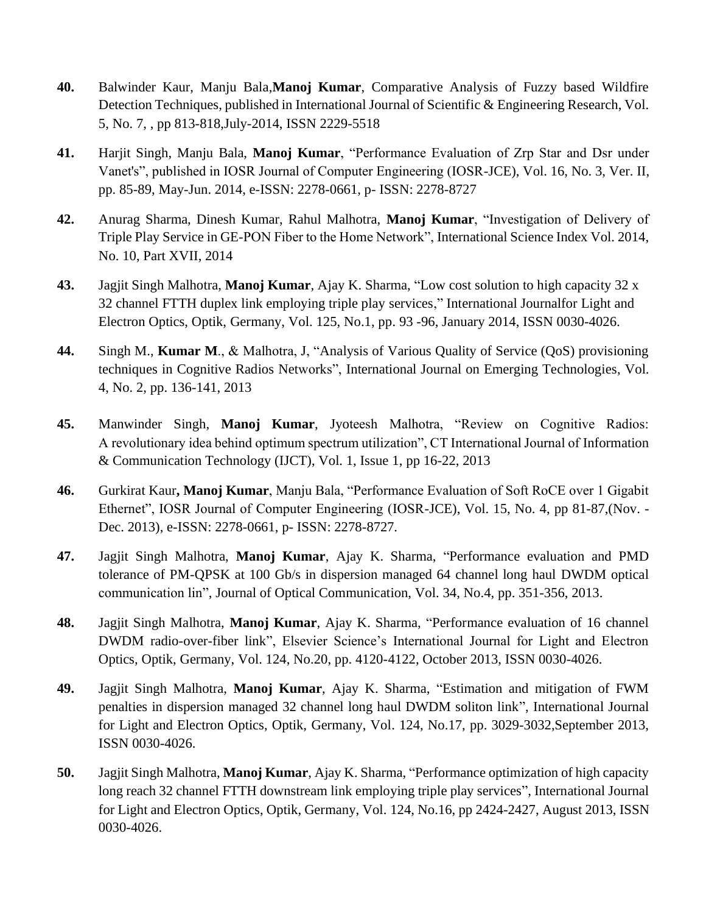- **40.** Balwinder Kaur, Manju Bala,**Manoj Kumar**, Comparative Analysis of Fuzzy based Wildfire Detection Techniques, published in International Journal of Scientific & Engineering Research, Vol. 5, No. 7, , pp 813-818,July-2014, ISSN 2229-5518
- **41.** Harjit Singh, Manju Bala, **Manoj Kumar**, "Performance Evaluation of Zrp Star and Dsr under Vanet's", published in IOSR Journal of Computer Engineering (IOSR-JCE), Vol. 16, No. 3, Ver. II, pp. 85-89, May-Jun. 2014, e-ISSN: 2278-0661, p- ISSN: 2278-8727
- **42.** Anurag Sharma, Dinesh Kumar, Rahul Malhotra, **Manoj Kumar**, "Investigation of Delivery of Triple Play Service in GE-PON Fiber to the Home Network", International Science Index Vol. 2014, No. 10, Part XVII, 2014
- **43.** Jagjit Singh Malhotra, **Manoj Kumar**, Ajay K. Sharma, "Low cost solution to high capacity 32 x 32 channel FTTH duplex link employing triple play services," International Journalfor Light and Electron Optics, Optik, Germany, Vol. 125, No.1, pp. 93 -96, January 2014, ISSN 0030-4026.
- **44.** Singh M., **Kumar M**., & Malhotra, J, "Analysis of Various Quality of Service (QoS) provisioning techniques in Cognitive Radios Networks", International Journal on Emerging Technologies, Vol. 4, No. 2, pp. 136-141, 2013
- **45.** Manwinder Singh, **Manoj Kumar**, Jyoteesh Malhotra, "Review on Cognitive Radios: A revolutionary idea behind optimum spectrum utilization", CT International Journal of Information & Communication Technology (IJCT), Vol. 1, Issue 1, pp 16-22, 2013
- **46.** Gurkirat Kaur**, Manoj Kumar**, Manju Bala, "Performance Evaluation of Soft RoCE over 1 Gigabit Ethernet", IOSR Journal of Computer Engineering (IOSR-JCE), Vol. 15, No. 4, pp 81-87,(Nov. - Dec. 2013), e-ISSN: 2278-0661, p- ISSN: 2278-8727.
- **47.** Jagjit Singh Malhotra, **Manoj Kumar**, Ajay K. Sharma, "Performance evaluation and PMD tolerance of PM-QPSK at 100 Gb/s in dispersion managed 64 channel long haul DWDM optical communication lin", Journal of Optical Communication, Vol. 34, No.4, pp. 351-356, 2013.
- **48.** Jagjit Singh Malhotra, **Manoj Kumar**, Ajay K. Sharma, "Performance evaluation of 16 channel DWDM radio-over-fiber link", Elsevier Science's International Journal for Light and Electron Optics, Optik, Germany, Vol. 124, No.20, pp. 4120-4122, October 2013, ISSN 0030-4026.
- **49.** Jagjit Singh Malhotra, **Manoj Kumar**, Ajay K. Sharma, "Estimation and mitigation of FWM penalties in dispersion managed 32 channel long haul DWDM soliton link", International Journal for Light and Electron Optics, Optik, Germany, Vol. 124, No.17, pp. 3029-3032,September 2013, ISSN 0030-4026.
- **50.** Jagjit Singh Malhotra, **Manoj Kumar**, Ajay K. Sharma, "Performance optimization of high capacity long reach 32 channel FTTH downstream link employing triple play services", International Journal for Light and Electron Optics, Optik, Germany, Vol. 124, No.16, pp 2424-2427, August 2013, ISSN 0030-4026.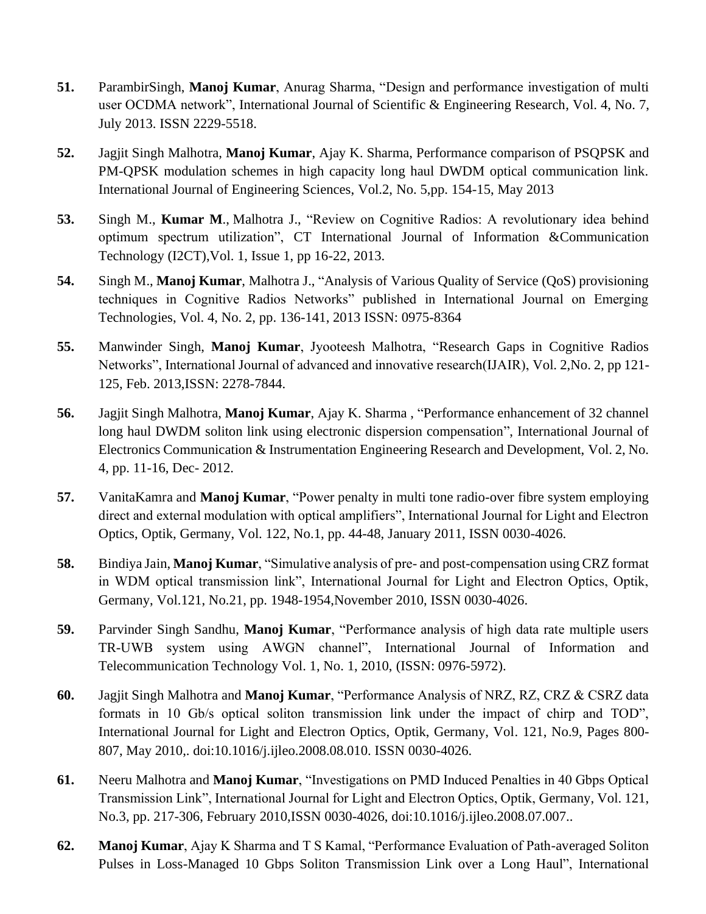- **51.** ParambirSingh, **Manoj Kumar**, Anurag Sharma, "Design and performance investigation of multi user OCDMA network", International Journal of Scientific & Engineering Research, Vol. 4, No. 7, July 2013. ISSN 2229-5518.
- **52.** Jagjit Singh Malhotra, **Manoj Kumar**, Ajay K. Sharma, Performance comparison of PSQPSK and PM-QPSK modulation schemes in high capacity long haul DWDM optical communication link. International Journal of Engineering Sciences, Vol.2, No. 5,pp. 154-15, May 2013
- **53.** Singh M., **Kumar M**., Malhotra J., "Review on Cognitive Radios: A revolutionary idea behind optimum spectrum utilization", CT International Journal of Information &Communication Technology (I2CT),Vol. 1, Issue 1, pp 16-22, 2013.
- **54.** Singh M., **Manoj Kumar**, Malhotra J., "Analysis of Various Quality of Service (QoS) provisioning techniques in Cognitive Radios Networks" published in International Journal on Emerging Technologies, Vol. 4, No. 2, pp. 136-141, 2013 ISSN: 0975-8364
- **55.** Manwinder Singh, **Manoj Kumar**, Jyooteesh Malhotra, "Research Gaps in Cognitive Radios Networks", International Journal of advanced and innovative research(IJAIR), Vol. 2,No. 2, pp 121- 125, Feb. 2013,ISSN: 2278-7844.
- **56.** Jagjit Singh Malhotra, **Manoj Kumar**, Ajay K. Sharma , "Performance enhancement of 32 channel long haul DWDM soliton link using electronic dispersion compensation", International Journal of Electronics Communication & Instrumentation Engineering Research and Development, Vol. 2, No. 4, pp. 11-16, Dec- 2012.
- **57.** VanitaKamra and **Manoj Kumar**, "Power penalty in multi tone radio-over fibre system employing direct and external modulation with optical amplifiers", International Journal for Light and Electron Optics, Optik, Germany, Vol. 122, No.1, pp. 44-48, January 2011, ISSN 0030-4026.
- **58.** Bindiya Jain, **Manoj Kumar**, "Simulative analysis of pre- and post-compensation using CRZ format in WDM optical transmission link", International Journal for Light and Electron Optics, Optik, Germany, Vol.121, No.21, pp. 1948-1954,November 2010, ISSN 0030-4026.
- **59.** Parvinder Singh Sandhu, **Manoj Kumar**, "Performance analysis of high data rate multiple users TR-UWB system using AWGN channel", International Journal of Information and Telecommunication Technology Vol. 1, No. 1, 2010, (ISSN: 0976-5972).
- **60.** Jagjit Singh Malhotra and **Manoj Kumar**, "Performance Analysis of NRZ, RZ, CRZ & CSRZ data formats in 10 Gb/s optical soliton transmission link under the impact of chirp and TOD", International Journal for Light and Electron Optics, Optik, Germany, Vol. 121, No.9, Pages 800- 807, May 2010,. doi:10.1016/j.ijleo.2008.08.010. ISSN 0030-4026.
- **61.** Neeru Malhotra and **Manoj Kumar**, "Investigations on PMD Induced Penalties in 40 Gbps Optical Transmission Link", International Journal for Light and Electron Optics, Optik, Germany, Vol. 121, No.3, pp. 217-306, February 2010,ISSN 0030-4026, doi:10.1016/j.ijleo.2008.07.007..
- **62. Manoj Kumar**, Ajay K Sharma and T S Kamal, "Performance Evaluation of Path-averaged Soliton Pulses in Loss-Managed 10 Gbps Soliton Transmission Link over a Long Haul", International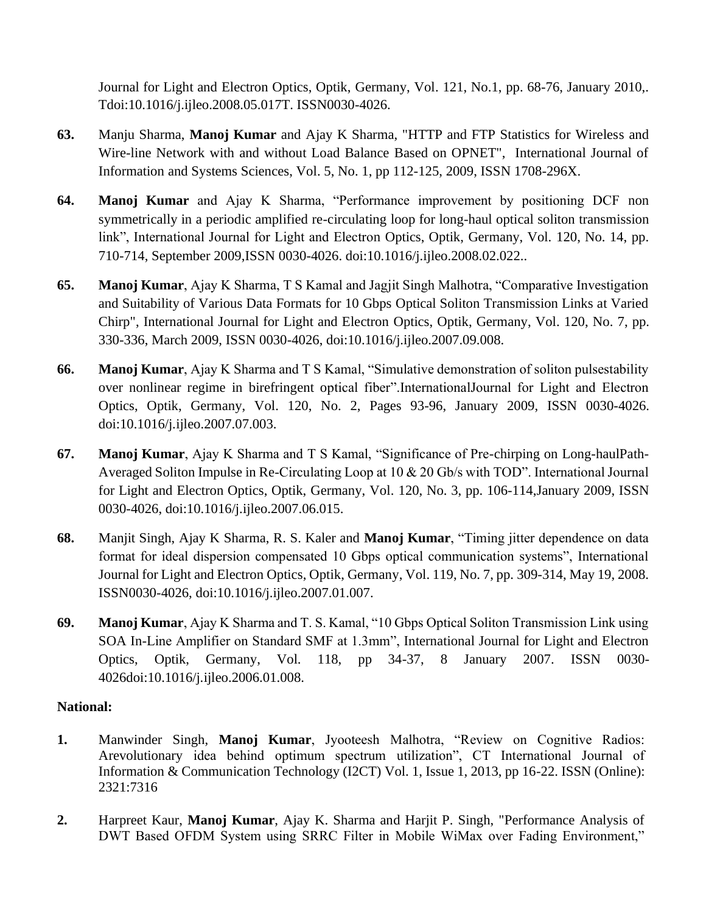Journal for Light and Electron Optics, Optik, Germany, Vol. 121, No.1, pp. 68-76, January 2010,. Tdoi:10.1016/j.ijleo.2008.05.017T. ISSN0030-4026.

- **63.** Manju Sharma, **Manoj Kumar** and Ajay K Sharma, "HTTP and FTP Statistics for Wireless and Wire-line Network with and without Load Balance Based on OPNET", International Journal of Information and Systems Sciences, Vol. 5, No. 1, pp 112-125, 2009, ISSN 1708-296X.
- **64. Manoj Kumar** and Ajay K Sharma, "Performance improvement by positioning DCF non symmetrically in a periodic amplified re-circulating loop for long-haul optical soliton transmission link", International Journal for Light and Electron Optics, Optik, Germany, Vol. 120, No. 14, pp. 710-714, September 2009,ISSN 0030-4026. doi:10.1016/j.ijleo.2008.02.022..
- **65. Manoj Kumar**, Ajay K Sharma, T S Kamal and Jagjit Singh Malhotra, "Comparative Investigation and Suitability of Various Data Formats for 10 Gbps Optical Soliton Transmission Links at Varied Chirp", International Journal for Light and Electron Optics, Optik, Germany, Vol. 120, No. 7, pp. 330-336, March 2009, ISSN 0030-4026, doi:10.1016/j.ijleo.2007.09.008.
- **66. Manoj Kumar**, Ajay K Sharma and T S Kamal, "Simulative demonstration of soliton pulsestability over nonlinear regime in birefringent optical fiber".InternationalJournal for Light and Electron Optics, Optik, Germany, Vol. 120, No. 2, Pages 93-96, January 2009, ISSN 0030-4026. doi:10.1016/j.ijleo.2007.07.003.
- **67. Manoj Kumar**, Ajay K Sharma and T S Kamal, "Significance of Pre-chirping on Long-haulPath-Averaged Soliton Impulse in Re-Circulating Loop at 10 & 20 Gb/s with TOD". International Journal for Light and Electron Optics, Optik, Germany, Vol. 120, No. 3, pp. 106-114,January 2009, ISSN 0030-4026, doi:10.1016/j.ijleo.2007.06.015.
- **68.** Manjit Singh, Ajay K Sharma, R. S. Kaler and **Manoj Kumar**, "Timing jitter dependence on data format for ideal dispersion compensated 10 Gbps optical communication systems", International Journal for Light and Electron Optics, Optik, Germany, Vol. 119, No. 7, pp. 309-314, May 19, 2008. ISSN0030-4026, doi:10.1016/j.ijleo.2007.01.007.
- **69. Manoj Kumar**, Ajay K Sharma and T. S. Kamal, "10 Gbps Optical Soliton Transmission Link using SOA In-Line Amplifier on Standard SMF at 1.3mm", International Journal for Light and Electron Optics, Optik, Germany, Vol. 118, pp 34-37, 8 January 2007. ISSN 0030- 4026doi:10.1016/j.ijleo.2006.01.008.

# **National:**

- **1.** Manwinder Singh, **Manoj Kumar**, Jyooteesh Malhotra, "Review on Cognitive Radios: Arevolutionary idea behind optimum spectrum utilization", CT International Journal of Information & Communication Technology (I2CT) Vol. 1, Issue 1, 2013, pp 16-22. ISSN (Online): 2321:7316
- **2.** Harpreet Kaur, **Manoj Kumar**, Ajay K. Sharma and Harjit P. Singh, "Performance Analysis of DWT Based OFDM System using SRRC Filter in Mobile WiMax over Fading Environment,"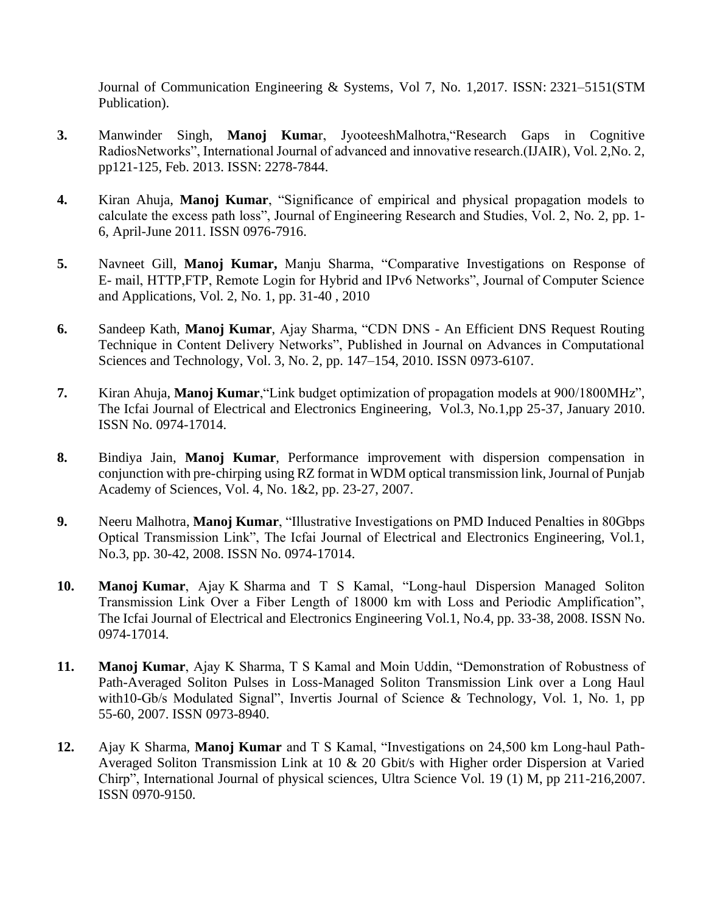Journal of Communication Engineering & Systems, Vol 7, No. 1,2017. ISSN: 2321–5151(STM Publication).

- **3.** Manwinder Singh, **Manoj Kuma**r, JyooteeshMalhotra,"Research Gaps in Cognitive RadiosNetworks", International Journal of advanced and innovative research.(IJAIR), Vol. 2,No. 2, pp121-125, Feb. 2013. ISSN: 2278-7844.
- **4.** Kiran Ahuja, **Manoj Kumar**, "Significance of empirical and physical propagation models to calculate the excess path loss", Journal of Engineering Research and Studies, Vol. 2, No. 2, pp. 1- 6, April-June 2011. ISSN 0976-7916.
- **5.** Navneet Gill, **Manoj Kumar,** Manju Sharma, "Comparative Investigations on Response of E- mail, HTTP,FTP, Remote Login for Hybrid and IPv6 Networks", Journal of Computer Science and Applications, Vol. 2, No. 1, pp. 31-40 , 2010
- **6.** Sandeep Kath, **Manoj Kumar**, Ajay Sharma, "CDN DNS An Efficient DNS Request Routing Technique in Content Delivery Networks", Published in Journal on Advances in Computational Sciences and Technology, Vol. 3, No. 2, pp. 147–154, 2010. ISSN 0973-6107.
- **7.** Kiran Ahuja, **Manoj Kumar**,"Link budget optimization of propagation models at 900/1800MHz", The Icfai Journal of Electrical and Electronics Engineering, Vol.3, No.1,pp 25-37, January 2010. ISSN No. 0974-17014.
- **8.** Bindiya Jain, **Manoj Kumar**, Performance improvement with dispersion compensation in conjunction with pre-chirping using RZ format in WDM optical transmission link, Journal of Punjab Academy of Sciences, Vol. 4, No. 1&2, pp. 23-27, 2007.
- **9.** Neeru Malhotra, **Manoj Kumar**, "Illustrative Investigations on PMD Induced Penalties in 80Gbps Optical Transmission Link", The Icfai Journal of Electrical and Electronics Engineering, Vol.1, No.3, pp. 30-42, 2008. ISSN No. 0974-17014.
- **10. Manoj Kumar**, Ajay K Sharma and T S Kamal, "Long-haul Dispersion Managed Soliton Transmission Link Over a Fiber Length of 18000 km with Loss and Periodic Amplification", The Icfai Journal of Electrical and Electronics Engineering Vol.1, No.4, pp. 33-38, 2008. ISSN No. 0974-17014.
- **11. Manoj Kumar**, Ajay K Sharma, T S Kamal and Moin Uddin, "Demonstration of Robustness of Path-Averaged Soliton Pulses in Loss-Managed Soliton Transmission Link over a Long Haul with10-Gb/s Modulated Signal", Invertis Journal of Science & Technology, Vol. 1, No. 1, pp 55-60, 2007. ISSN 0973-8940.
- **12.** Ajay K Sharma, **Manoj Kumar** and T S Kamal, "Investigations on 24,500 km Long-haul Path-Averaged Soliton Transmission Link at 10 & 20 Gbit/s with Higher order Dispersion at Varied Chirp", International Journal of physical sciences, Ultra Science Vol. 19 (1) M, pp 211-216,2007. ISSN 0970-9150.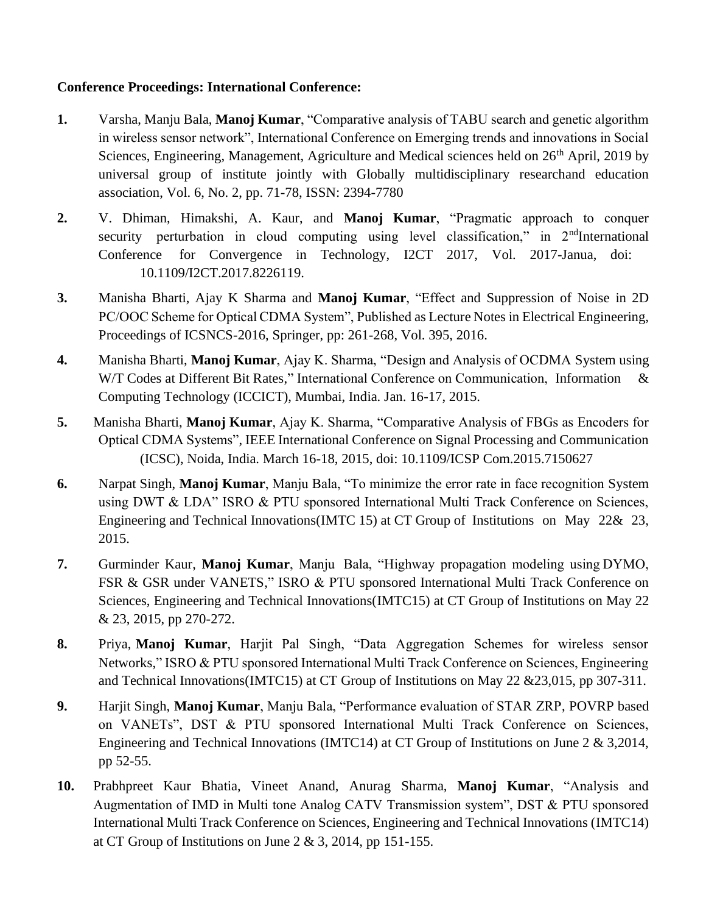# **Conference Proceedings: International Conference:**

- **1.** Varsha, Manju Bala, **Manoj Kumar**, "Comparative analysis of TABU search and genetic algorithm in wireless sensor network", International Conference on Emerging trends and innovations in Social Sciences, Engineering, Management, Agriculture and Medical sciences held on 26<sup>th</sup> April, 2019 by universal group of institute jointly with Globally multidisciplinary researchand education association, Vol. 6, No. 2, pp. 71-78, ISSN: 2394-7780
- **2.** V. Dhiman, Himakshi, A. Kaur, and **Manoj Kumar**, "Pragmatic approach to conquer security perturbation in cloud computing using level classification," in 2<sup>nd</sup>International Conference for Convergence in Technology, I2CT 2017, Vol. 2017-Janua, doi: 10.1109/I2CT.2017.8226119.
- **3.** Manisha Bharti, Ajay K Sharma and **Manoj Kumar**, "Effect and Suppression of Noise in 2D PC/OOC Scheme for Optical CDMA System", Published as Lecture Notes in Electrical Engineering, Proceedings of ICSNCS-2016, Springer, pp: 261-268, Vol. 395, 2016.
- **4.** Manisha Bharti, **Manoj Kumar**, Ajay K. Sharma, "Design and Analysis of OCDMA System using W/T Codes at Different Bit Rates," International Conference on Communication, Information & Computing Technology (ICCICT), Mumbai, India. Jan. 16-17, 2015.
- **5.** Manisha Bharti, **Manoj Kumar**, Ajay K. Sharma, "Comparative Analysis of FBGs as Encoders for Optical CDMA Systems", IEEE International Conference on Signal Processing and Communication (ICSC), Noida, India. March 16-18, 2015, doi: 10.1109/ICSP Com.2015.7150627
- **6.** Narpat Singh, **Manoj Kumar**, Manju Bala, "To minimize the error rate in face recognition System using DWT & LDA" ISRO & PTU sponsored International Multi Track Conference on Sciences, Engineering and Technical Innovations(IMTC 15) at CT Group of Institutions on May 22& 23, 2015.
- **7.** Gurminder Kaur, **Manoj Kumar**, Manju Bala, "Highway propagation modeling using DYMO, FSR & GSR under VANETS," ISRO & PTU sponsored International Multi Track Conference on Sciences, Engineering and Technical Innovations(IMTC15) at CT Group of Institutions on May 22 & 23, 2015, pp 270-272.
- **8.** Priya, **Manoj Kumar**, Harjit Pal Singh, "Data Aggregation Schemes for wireless sensor Networks," ISRO & PTU sponsored International Multi Track Conference on Sciences, Engineering and Technical Innovations(IMTC15) at CT Group of Institutions on May 22 &23,015, pp 307-311.
- **9.** Harjit Singh, **Manoj Kumar**, Manju Bala, "Performance evaluation of STAR ZRP, POVRP based on VANETs", DST & PTU sponsored International Multi Track Conference on Sciences, Engineering and Technical Innovations (IMTC14) at CT Group of Institutions on June 2 & 3,2014, pp 52-55.
- **10.** Prabhpreet Kaur Bhatia, Vineet Anand, Anurag Sharma, **Manoj Kumar**, "Analysis and Augmentation of IMD in Multi tone Analog CATV Transmission system", DST & PTU sponsored International Multi Track Conference on Sciences, Engineering and Technical Innovations (IMTC14) at CT Group of Institutions on June  $2 \& 3$ , 2014, pp 151-155.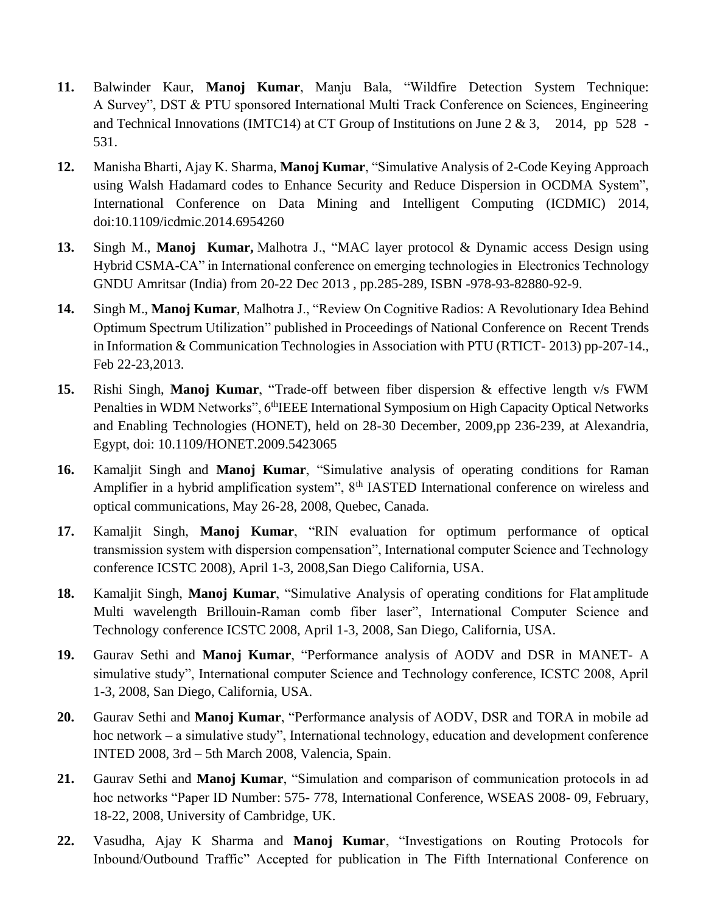- **11.** Balwinder Kaur, **Manoj Kumar**, Manju Bala, "Wildfire Detection System Technique: A Survey", DST & PTU sponsored International Multi Track Conference on Sciences, Engineering and Technical Innovations (IMTC14) at CT Group of Institutions on June 2 & 3, 2014, pp 528 -531.
- **12.** Manisha Bharti, Ajay K. Sharma, **Manoj Kumar**, "Simulative Analysis of 2-Code Keying Approach using Walsh Hadamard codes to Enhance Security and Reduce Dispersion in OCDMA System", International Conference on Data Mining and Intelligent Computing (ICDMIC) 2014, doi:10.1109/icdmic.2014.6954260
- **13.** Singh M., **Manoj Kumar,** Malhotra J., "MAC layer protocol & Dynamic access Design using Hybrid CSMA-CA" in International conference on emerging technologies in Electronics Technology GNDU Amritsar (India) from 20-22 Dec 2013 , pp.285-289, ISBN -978-93-82880-92-9.
- **14.** Singh M., **Manoj Kumar**, Malhotra J., "Review On Cognitive Radios: A Revolutionary Idea Behind Optimum Spectrum Utilization" published in Proceedings of National Conference on Recent Trends in Information & Communication Technologies in Association with PTU (RTICT- 2013) pp-207-14., Feb 22-23,2013.
- **15.** Rishi Singh, **Manoj Kumar**, "Trade-off between fiber dispersion & effective length v/s FWM Penalties in WDM Networks", 6<sup>th</sup>IEEE International Symposium on High Capacity Optical Networks and Enabling Technologies (HONET), held on 28-30 December, 2009,pp 236-239, at Alexandria, Egypt, doi: 10.1109/HONET.2009.5423065
- **16.** Kamaljit Singh and **Manoj Kumar**, "Simulative analysis of operating conditions for Raman Amplifier in a hybrid amplification system", 8<sup>th</sup> IASTED International conference on wireless and optical communications, May 26-28, 2008, Quebec, Canada.
- **17.** Kamaljit Singh, **Manoj Kumar**, "RIN evaluation for optimum performance of optical transmission system with dispersion compensation", International computer Science and Technology conference ICSTC 2008), April 1-3, 2008,San Diego California, USA.
- **18.** Kamaljit Singh, **Manoj Kumar**, "Simulative Analysis of operating conditions for Flat amplitude Multi wavelength Brillouin-Raman comb fiber laser", International Computer Science and Technology conference ICSTC 2008, April 1-3, 2008, San Diego, California, USA.
- **19.** Gaurav Sethi and **Manoj Kumar**, "Performance analysis of AODV and DSR in MANET- A simulative study", International computer Science and Technology conference, ICSTC 2008, April 1-3, 2008, San Diego, California, USA.
- **20.** Gaurav Sethi and **Manoj Kumar**, "Performance analysis of AODV, DSR and TORA in mobile ad hoc network – a simulative study", International technology, education and development conference INTED 2008, 3rd – 5th March 2008, Valencia, Spain.
- **21.** Gaurav Sethi and **Manoj Kumar**, "Simulation and comparison of communication protocols in ad hoc networks "Paper ID Number: 575- 778, International Conference, WSEAS 2008- 09, February, 18-22, 2008, University of Cambridge, UK.
- **22.** Vasudha, Ajay K Sharma and **Manoj Kumar**, "Investigations on Routing Protocols for Inbound/Outbound Traffic" Accepted for publication in The Fifth International Conference on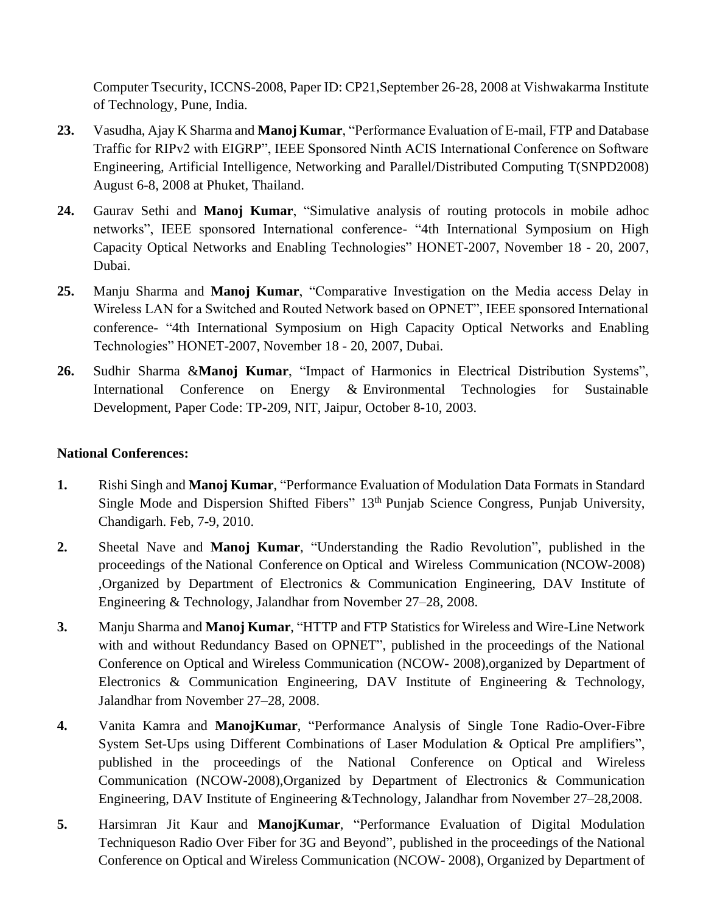Computer Tsecurity, ICCNS-2008, Paper ID: CP21,September 26-28, 2008 at Vishwakarma Institute of Technology, Pune, India.

- **23.** Vasudha, Ajay K Sharma and **Manoj Kumar**, "Performance Evaluation of E-mail, FTP and Database Traffic for RIPv2 with EIGRP", IEEE Sponsored Ninth ACIS International Conference on Software Engineering, Artificial Intelligence, Networking and Parallel/Distributed Computing T(SNPD2008) August 6-8, 2008 at Phuket, Thailand.
- **24.** Gaurav Sethi and **Manoj Kumar**, "Simulative analysis of routing protocols in mobile adhoc networks", IEEE sponsored International conference- "4th International Symposium on High Capacity Optical Networks and Enabling Technologies" HONET-2007, November 18 - 20, 2007, Dubai.
- **25.** Manju Sharma and **Manoj Kumar**, "Comparative Investigation on the Media access Delay in Wireless LAN for a Switched and Routed Network based on OPNET", IEEE sponsored International conference- "4th International Symposium on High Capacity Optical Networks and Enabling Technologies" HONET-2007, November 18 - 20, 2007, Dubai.
- **26.** Sudhir Sharma &**Manoj Kumar**, "Impact of Harmonics in Electrical Distribution Systems", International Conference on Energy & Environmental Technologies for Sustainable Development, Paper Code: TP-209, NIT, Jaipur, October 8-10, 2003.

### **National Conferences:**

- **1.** Rishi Singh and **Manoj Kumar**, "Performance Evaluation of Modulation Data Formats in Standard Single Mode and Dispersion Shifted Fibers" 13th Punjab Science Congress, Punjab University, Chandigarh. Feb, 7-9, 2010.
- **2.** Sheetal Nave and **Manoj Kumar**, "Understanding the Radio Revolution", published in the proceedings of the National Conference on Optical and Wireless Communication (NCOW-2008) ,Organized by Department of Electronics & Communication Engineering, DAV Institute of Engineering & Technology, Jalandhar from November 27–28, 2008.
- **3.** Manju Sharma and **Manoj Kumar**, "HTTP and FTP Statistics for Wireless and Wire-Line Network with and without Redundancy Based on OPNET", published in the proceedings of the National Conference on Optical and Wireless Communication (NCOW- 2008),organized by Department of Electronics & Communication Engineering, DAV Institute of Engineering & Technology, Jalandhar from November 27–28, 2008.
- **4.** Vanita Kamra and **ManojKumar**, "Performance Analysis of Single Tone Radio-Over-Fibre System Set-Ups using Different Combinations of Laser Modulation & Optical Pre amplifiers", published in the proceedings of the National Conference on Optical and Wireless Communication (NCOW-2008),Organized by Department of Electronics & Communication Engineering, DAV Institute of Engineering &Technology, Jalandhar from November 27–28,2008.
- **5.** Harsimran Jit Kaur and **ManojKumar**, "Performance Evaluation of Digital Modulation Techniqueson Radio Over Fiber for 3G and Beyond", published in the proceedings of the National Conference on Optical and Wireless Communication (NCOW- 2008), Organized by Department of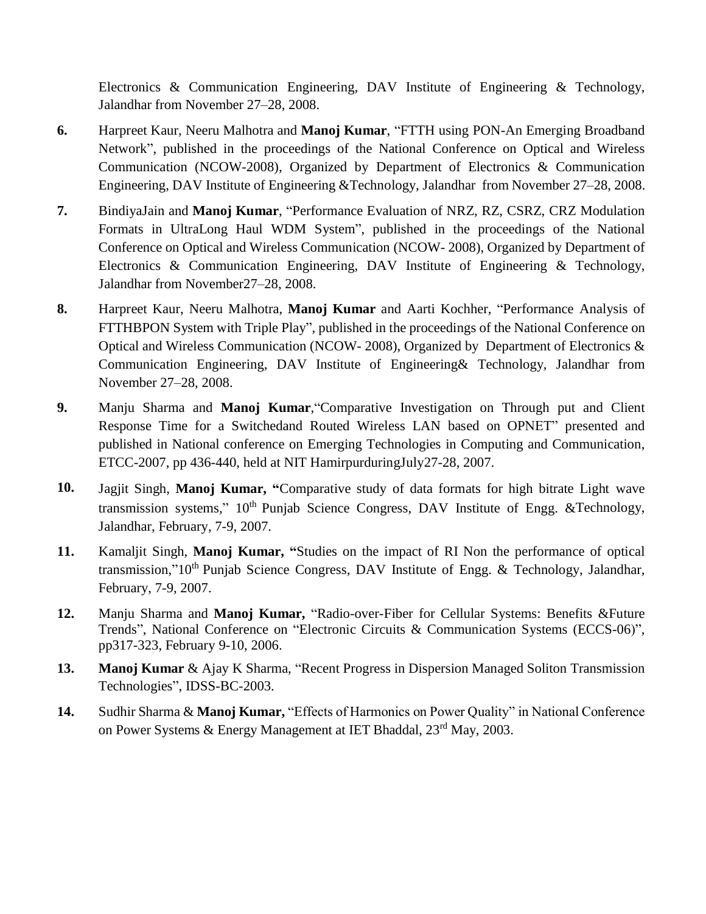Electronics & Communication Engineering, DAV Institute of Engineering & Technology, Jalandhar from November 27–28, 2008.

- **6.** Harpreet Kaur, Neeru Malhotra and **Manoj Kumar**, "FTTH using PON-An Emerging Broadband Network", published in the proceedings of the National Conference on Optical and Wireless Communication (NCOW-2008), Organized by Department of Electronics & Communication Engineering, DAV Institute of Engineering &Technology, Jalandhar from November 27–28, 2008.
- **7.** BindiyaJain and **Manoj Kumar**, "Performance Evaluation of NRZ, RZ, CSRZ, CRZ Modulation Formats in UltraLong Haul WDM System", published in the proceedings of the National Conference on Optical and Wireless Communication (NCOW- 2008), Organized by Department of Electronics & Communication Engineering, DAV Institute of Engineering & Technology, Jalandhar from November27–28, 2008.
- **8.** Harpreet Kaur, Neeru Malhotra, **Manoj Kumar** and Aarti Kochher, "Performance Analysis of FTTHBPON System with Triple Play", published in the proceedings of the National Conference on Optical and Wireless Communication (NCOW- 2008), Organized by Department of Electronics & Communication Engineering, DAV Institute of Engineering& Technology, Jalandhar from November 27–28, 2008.
- **9.** Manju Sharma and **Manoj Kumar**,"Comparative Investigation on Through put and Client Response Time for a Switchedand Routed Wireless LAN based on OPNET" presented and published in National conference on Emerging Technologies in Computing and Communication, ETCC-2007, pp 436-440, held at NIT HamirpurduringJuly27-28, 2007.
- **10.** Jagjit Singh, **Manoj Kumar, "**Comparative study of data formats for high bitrate Light wave transmission systems,"  $10<sup>th</sup>$  Punjab Science Congress, DAV Institute of Engg. &Technology, Jalandhar, February, 7-9, 2007.
- **11.** Kamaljit Singh, **Manoj Kumar, "**Studies on the impact of RI Non the performance of optical transmission,"10<sup>th</sup> Punjab Science Congress, DAV Institute of Engg. & Technology, Jalandhar, February, 7-9, 2007.
- **12.** Manju Sharma and **Manoj Kumar,** "Radio-over-Fiber for Cellular Systems: Benefits &Future Trends", National Conference on "Electronic Circuits & Communication Systems (ECCS-06)", pp317-323, February 9-10, 2006.
- **13. Manoj Kumar** & Ajay K Sharma, "Recent Progress in Dispersion Managed Soliton Transmission Technologies", IDSS-BC-2003.
- **14.** Sudhir Sharma & **Manoj Kumar,** "Effects of Harmonics on Power Quality" in National Conference on Power Systems & Energy Management at IET Bhaddal, 23<sup>rd</sup> May, 2003.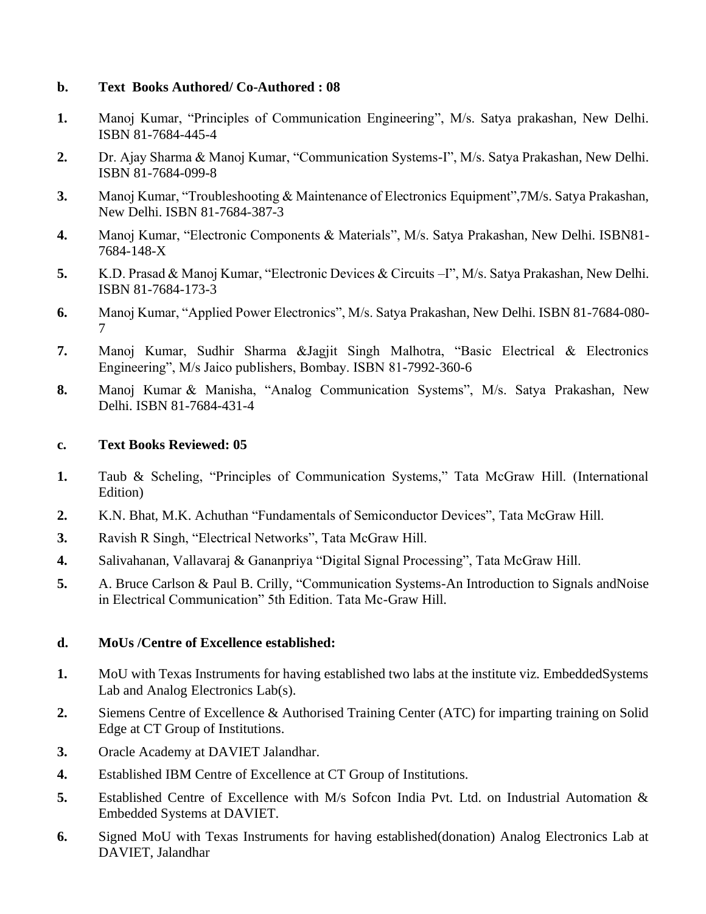#### **b. Text Books Authored/ Co-Authored : 08**

- **1.** Manoj Kumar, "Principles of Communication Engineering", M/s. Satya prakashan, New Delhi. ISBN 81-7684-445-4
- **2.** Dr. Ajay Sharma & Manoj Kumar, "Communication Systems-I", M/s. Satya Prakashan, New Delhi. ISBN 81-7684-099-8
- **3.** Manoj Kumar, "Troubleshooting & Maintenance of Electronics Equipment",7M/s. Satya Prakashan, New Delhi. ISBN 81-7684-387-3
- **4.** Manoj Kumar, "Electronic Components & Materials", M/s. Satya Prakashan, New Delhi. ISBN81- 7684-148-X
- **5.** K.D. Prasad & Manoj Kumar, "Electronic Devices & Circuits –I", M/s. Satya Prakashan, New Delhi. ISBN 81-7684-173-3
- **6.** Manoj Kumar, "Applied Power Electronics", M/s. Satya Prakashan, New Delhi. ISBN 81-7684-080- 7
- **7.** Manoj Kumar, Sudhir Sharma &Jagjit Singh Malhotra, "Basic Electrical & Electronics Engineering", M/s Jaico publishers, Bombay. ISBN 81-7992-360-6
- **8.** Manoj Kumar & Manisha, "Analog Communication Systems", M/s. Satya Prakashan, New Delhi. ISBN 81-7684-431-4

### **c. Text Books Reviewed: 05**

- **1.** Taub & Scheling, "Principles of Communication Systems," Tata McGraw Hill. (International Edition)
- **2.** K.N. Bhat, M.K. Achuthan "Fundamentals of Semiconductor Devices", Tata McGraw Hill.
- **3.** Ravish R Singh, "Electrical Networks", Tata McGraw Hill.
- **4.** Salivahanan, Vallavaraj & Gananpriya "Digital Signal Processing", Tata McGraw Hill.
- **5.** A. Bruce Carlson & Paul B. Crilly, "Communication Systems-An Introduction to Signals andNoise in Electrical Communication" 5th Edition. Tata Mc-Graw Hill.

# **d. MoUs /Centre of Excellence established:**

- **1.** MoU with Texas Instruments for having established two labs at the institute viz. EmbeddedSystems Lab and Analog Electronics Lab(s).
- **2.** Siemens Centre of Excellence & Authorised Training Center (ATC) for imparting training on Solid Edge at CT Group of Institutions.
- **3.** Oracle Academy at DAVIET Jalandhar.
- **4.** Established IBM Centre of Excellence at CT Group of Institutions.
- **5.** Established Centre of Excellence with M/s Sofcon India Pvt. Ltd. on Industrial Automation & Embedded Systems at DAVIET.
- **6.** Signed MoU with Texas Instruments for having established(donation) Analog Electronics Lab at DAVIET, Jalandhar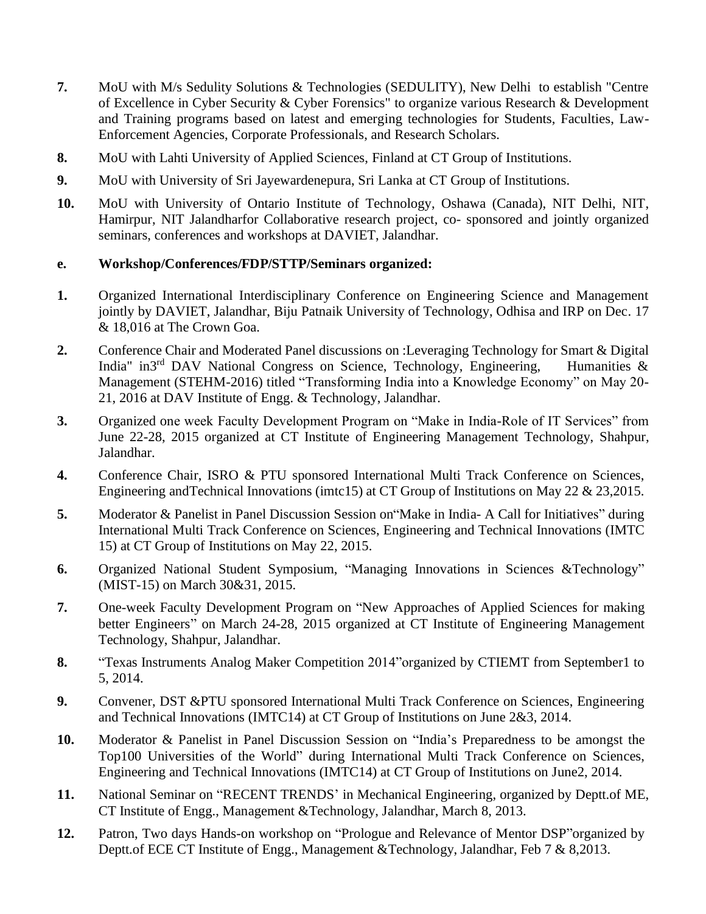- **7.** MoU with M/s Sedulity Solutions & Technologies (SEDULITY), New Delhi to establish "Centre of Excellence in Cyber Security & Cyber Forensics" to organize various Research & Development and Training programs based on latest and emerging technologies for Students, Faculties, Law-Enforcement Agencies, Corporate Professionals, and Research Scholars.
- **8.** MoU with Lahti University of Applied Sciences, Finland at CT Group of Institutions.
- **9.** MoU with University of Sri Jayewardenepura, Sri Lanka at CT Group of Institutions.
- **10.** MoU with University of Ontario Institute of Technology, Oshawa (Canada), NIT Delhi, NIT, Hamirpur, NIT Jalandharfor Collaborative research project, co- sponsored and jointly organized seminars, conferences and workshops at DAVIET, Jalandhar.

### **e. Workshop/Conferences/FDP/STTP/Seminars organized:**

- **1.** Organized International Interdisciplinary Conference on Engineering Science and Management jointly by DAVIET, Jalandhar, Biju Patnaik University of Technology, Odhisa and IRP on Dec. 17 & 18,016 at The Crown Goa.
- **2.** Conference Chair and Moderated Panel discussions on :Leveraging Technology for Smart & Digital India" in3<sup>rd</sup> DAV National Congress on Science, Technology, Engineering, Humanities & Management (STEHM-2016) titled ["Transforming India into a Knowledge Economy" on May 20-](http://www.ctgroup.in/mainFile.php?max=MTIzNA==/653556511&tab=Y29tbW9ucGFuZWw=) [21, 2016 at DAV Institute of Engg. & Technology, Jalandhar.](http://www.ctgroup.in/mainFile.php?max=MTIzNA==/653556511&tab=Y29tbW9ucGFuZWw=)
- **3.** Organized [one week Faculty Development Program on "Make in India-Role of IT Services" from](http://www.ctgroup.in/mainFile.php?max=MTIzNA==/653556511&tab=Y29tbW9ucGFuZWw=)  [June 22-2](http://www.ctgroup.in/mainFile.php?max=MTIzNA==/653556511&tab=Y29tbW9ucGFuZWw=)8, 2015 organized at CT Institute of [Engineering Management Technology,](http://www.ctgroup.in/mainFile.php?max=MTIzNA==/653556511&tab=Y29tbW9ucGFuZWw=) Shahpur, [Jalandhar.](http://www.ctgroup.in/mainFile.php?max=MTIzNA==/653556511&tab=Y29tbW9ucGFuZWw=)
- **4.** Conference Chair, ISRO & PTU sponsored International Multi Track Conference on Sciences, Engineering and Technical Innovations (imtc15) at CT Group of Institutions on May 22 & 23,2015.
- **5.** Moderator & Panelist in Panel Discussion Session on"Make in India- A Call for Initiatives" during International Multi Track Conference on Sciences, Engineering and Technical Innovations (IMTC 15) at CT Group of Institutions on May 22, 2015.
- **6.** Organized National Student Symposium, "Managing Innovations in Sciences &Technology" (MIST-15) on March 30&31, 2015.
- **7.** One-week Faculty [Development](http://www.ctgroup.in/mainFile.php?max=MTIzNA==/653556511&tab=Y29tbW9ucGFuZWw=) Program on "New Approaches of Applied Sciences for making better Engineers" on March 24-28, 2015 organized at CT Institute of Engineering Managemen[t](http://www.ctgroup.in/mainFile.php?max=MTIzNA==/653556511&tab=Y29tbW9ucGFuZWw=) [Technology, Shahpur, Jalandhar.](http://www.ctgroup.in/mainFile.php?max=MTIzNA==/653556511&tab=Y29tbW9ucGFuZWw=)
- **8.** "Texas Instruments Analog Maker Competition 2014"organized by CTIEMT from September1 to 5, 2014.
- **9.** Convener, DST &PTU sponsored International Multi Track Conference on Sciences, Engineering and Technical Innovations (IMTC14) at CT Group of Institutions on June 2&3, 2014.
- **10.** Moderator & Panelist in Panel Discussion Session on "India's Preparedness to be amongst the Top100 Universities of the World" during International Multi Track Conference on Sciences, Engineering and Technical Innovations (IMTC14) at CT Group of Institutions on June2, 2014.
- **11.** National Seminar on "RECENT TRENDS' in Mechanical Engineering, organized by Deptt.of ME, CT Institute of Engg., Management &Technology, Jalandhar, March 8, 2013.
- **12.** Patron, Two days Hands-on workshop on "Prologue and Relevance of Mentor DSP"organized by Deptt.of ECE CT Institute of Engg., Management &Technology, Jalandhar, Feb 7 & 8,2013.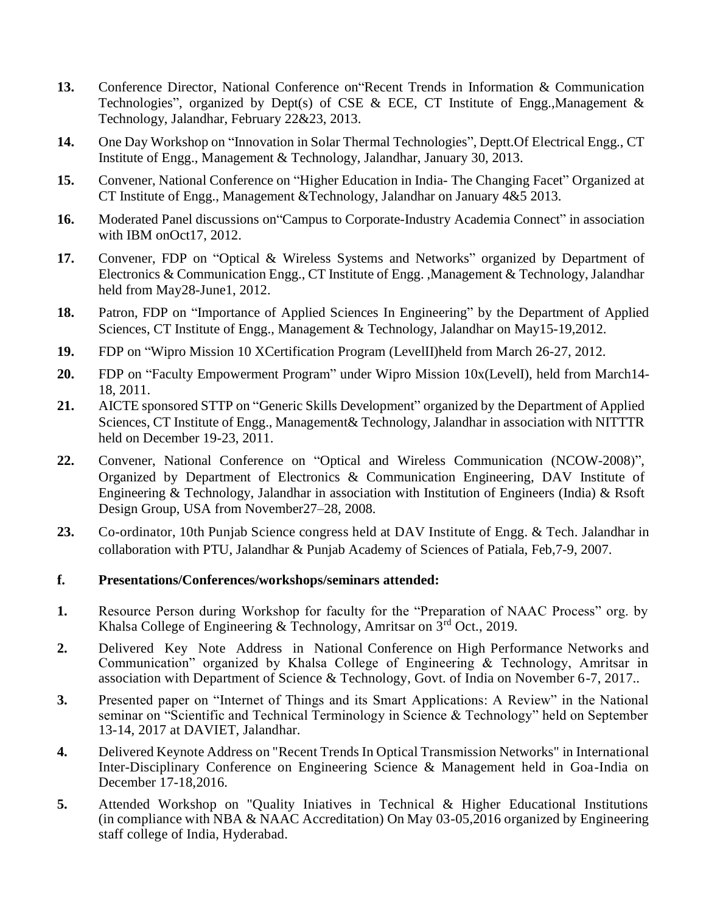- **13.** Conference Director, National Conference on"Recent Trends in Information & Communication Technologies", organized by Dept(s) of CSE & ECE, CT Institute of Engg., Management & Technology, Jalandhar, February 22&23, 2013.
- **14.** One Day Workshop on "Innovation in Solar Thermal Technologies", Deptt.Of Electrical Engg., CT Institute of Engg., Management & Technology, Jalandhar, January 30, 2013.
- **15.** Convener, National Conference on "Higher Education in India- The Changing Facet" Organized at CT Institute of Engg., Management &Technology, Jalandhar on January 4&5 2013.
- 16. Moderated Panel discussions on "Campus to Corporate-Industry Academia Connect" in association with IBM onOct17, 2012.
- **17.** Convener, FDP on "Optical & Wireless Systems and Networks" organized by Department of Electronics & Communication Engg., CT Institute of Engg. ,Management & Technology, Jalandhar held from May28-June1, 2012.
- **18.** Patron, FDP on "Importance of Applied Sciences In Engineering" by the Department of Applied Sciences, CT Institute of Engg., Management & Technology, Jalandhar on May15-19,2012.
- **19.** FDP on "Wipro Mission 10 XCertification Program (LevelII)held from March 26-27, 2012.
- **20.** FDP on "Faculty Empowerment Program" under Wipro Mission 10x(LevelI), held from March14- 18, 2011.
- **21.** AICTE sponsored STTP on "Generic Skills Development" organized by the Department of Applied Sciences, CT Institute of Engg., Management& Technology, Jalandhar in association with NITTTR held on December 19-23, 2011.
- **22.** Convener, National Conference on "Optical and Wireless Communication (NCOW-2008)", Organized by Department of Electronics & Communication Engineering, DAV Institute of Engineering & Technology, Jalandhar in association with Institution of Engineers (India) & Rsoft Design Group, USA from November27–28, 2008.
- **23.** Co-ordinator, 10th Punjab Science congress held at DAV Institute of Engg. & Tech. Jalandhar in collaboration with PTU, Jalandhar & Punjab Academy of Sciences of Patiala, Feb,7-9, 2007.

#### **f. Presentations/Conferences/workshops/seminars attended:**

- **1.** Resource Person during Workshop for faculty for the "Preparation of NAAC Process" org. by Khalsa College of Engineering & Technology, Amritsar on  $3<sup>rd</sup>$  Oct., 2019.
- **2.** Delivered Key Note Address in National Conference on High Performance Networks and Communication" organized by Khalsa College of Engineering & Technology, Amritsar in association with Department of Science & Technology, Govt. of India on November 6-7, 2017..
- **3.** Presented paper on "Internet of Things and its Smart Applications: A Review" in the National seminar on "Scientific and Technical Terminology in Science & Technology" held on September 13-14, 2017 at DAVIET, Jalandhar.
- **4.** Delivered Keynote Address on "Recent Trends In Optical Transmission Networks" in International Inter-Disciplinary Conference on Engineering Science & Management held in Goa-India on December 17-18,2016.
- **5.** Attended Workshop on "Quality Iniatives in Technical & Higher Educational Institutions (in compliance with NBA & NAAC Accreditation) On May 03-05,2016 organized by Engineering staff college of India, Hyderabad.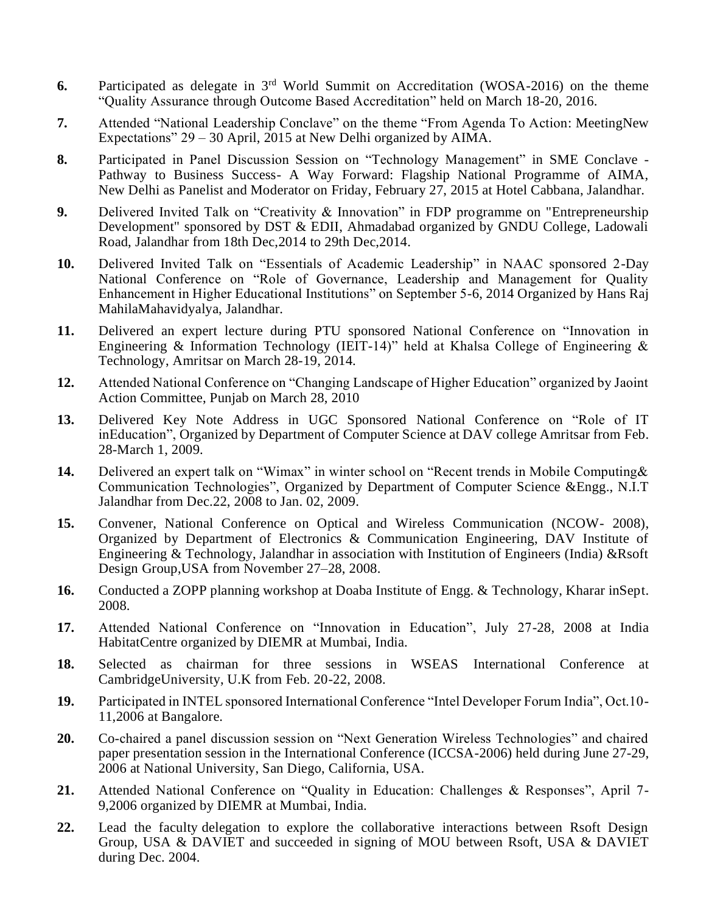- **6.** Participated as delegate in 3rd World Summit on Accreditation (WOSA-2016) on the theme "Quality Assurance through Outcome Based Accreditation" held on March 18-20, 2016.
- **7.** Attended "National Leadership Conclave" on the theme "From Agenda To Action: MeetingNew Expectations" 29 – 30 April, 2015 at New Delhi organized by AIMA.
- **8.** Participated in Panel Discussion Session on "Technology Management" in SME Conclave Pathway to Business Success- A Way Forward: Flagship National Programme of AIMA, New Delhi as Panelist and Moderator on Friday, February 27, 2015 at Hotel Cabbana, Jalandhar.
- **9.** Delivered Invited Talk on "Creativity & Innovation" in FDP programme on "Entrepreneurship Development" sponsored by DST & EDII, Ahmadabad organized by GNDU College, Ladowali Road, Jalandhar from 18th Dec,2014 to 29th Dec,2014.
- **10.** Delivered Invited Talk on "Essentials of Academic Leadership" in NAAC sponsored 2-Day National Conference on "Role of Governance, Leadership and Management for Quality Enhancement in Higher Educational Institutions" on September 5-6, 2014 Organized by Hans Raj MahilaMahavidyalya, Jalandhar.
- **11.** Delivered an expert lecture during PTU sponsored National Conference on "Innovation in Engineering & Information Technology (IEIT-14)" held at Khalsa College of Engineering  $\&$ Technology, Amritsar on March 28-19, 2014.
- **12.** Attended National Conference on "Changing Landscape of Higher Education" organized by Jaoint Action Committee, Punjab on March 28, 2010
- **13.** Delivered Key Note Address in UGC Sponsored National Conference on "Role of IT inEducation", Organized by Department of Computer Science at DAV college Amritsar from Feb. 28-March 1, 2009.
- **14.** Delivered an expert talk on "Wimax" in winter school on "Recent trends in Mobile Computing& Communication Technologies", Organized by Department of Computer Science &Engg., N.I.T Jalandhar from Dec.22, 2008 to Jan. 02, 2009.
- **15.** Convener, National Conference on Optical and Wireless Communication (NCOW- 2008), Organized by Department of Electronics & Communication Engineering, DAV Institute of Engineering & Technology, Jalandhar in association with Institution of Engineers (India) &Rsoft Design Group,USA from November 27–28, 2008.
- **16.** Conducted a ZOPP planning workshop at Doaba Institute of Engg. & Technology, Kharar inSept. 2008.
- **17.** Attended National Conference on "Innovation in Education", July 27-28, 2008 at India HabitatCentre organized by DIEMR at Mumbai, India.
- **18.** Selected as chairman for three sessions in WSEAS International Conference at CambridgeUniversity, U.K from Feb. 20-22, 2008.
- **19.** Participated in INTEL sponsored International Conference "Intel Developer Forum India", Oct.10- 11,2006 at Bangalore.
- **20.** Co-chaired a panel discussion session on "Next Generation Wireless Technologies" and chaired paper presentation session in the International Conference (ICCSA-2006) held during June 27-29, 2006 at National University, San Diego, California, USA.
- **21.** Attended National Conference on "Quality in Education: Challenges & Responses", April 7- 9,2006 organized by DIEMR at Mumbai, India.
- **22.** Lead the faculty delegation to explore the collaborative interactions between Rsoft Design Group, USA & DAVIET and succeeded in signing of MOU between Rsoft, USA & DAVIET during Dec. 2004.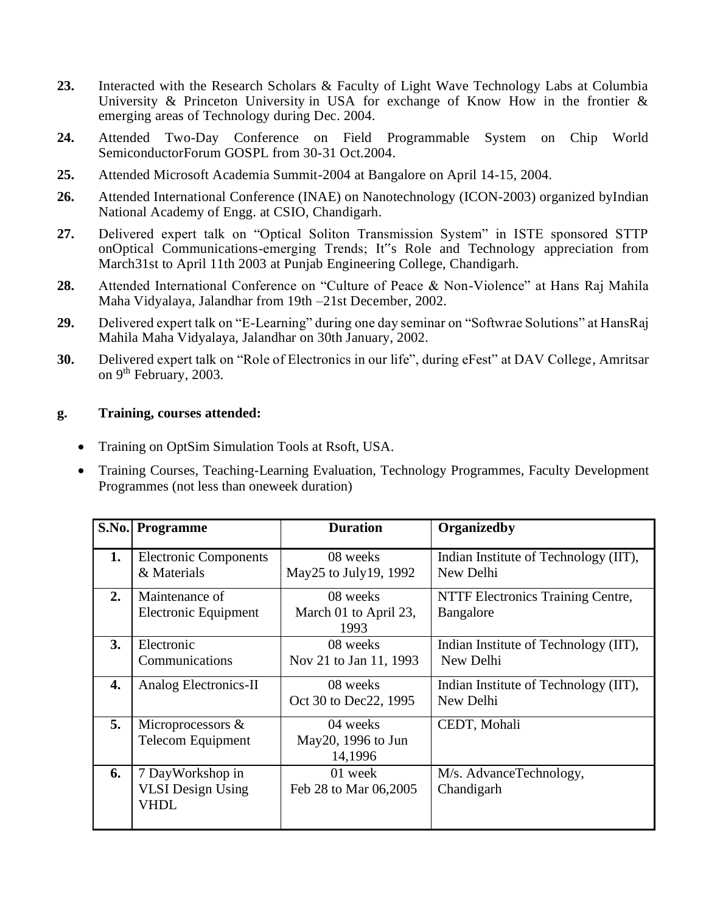- **23.** Interacted with the Research Scholars & Faculty of Light Wave Technology Labs at Columbia University & Princeton University in USA for exchange of Know How in the frontier  $\&$ emerging areas of Technology during Dec. 2004.
- **24.** Attended Two-Day Conference on Field Programmable System on Chip World SemiconductorForum GOSPL from 30-31 Oct.2004.
- **25.** Attended Microsoft Academia Summit-2004 at Bangalore on April 14-15, 2004.
- **26.** Attended International Conference (INAE) on Nanotechnology (ICON-2003) organized byIndian National Academy of Engg. at CSIO, Chandigarh.
- **27.** Delivered expert talk on "Optical Soliton Transmission System" in ISTE sponsored STTP onOptical Communications-emerging Trends; It"s Role and Technology appreciation from March31st to April 11th 2003 at Punjab Engineering College, Chandigarh.
- **28.** Attended International Conference on "Culture of Peace & Non-Violence" at Hans Raj Mahila Maha Vidyalaya, Jalandhar from 19th –21st December, 2002.
- **29.** Delivered expert talk on "E-Learning" during one day seminar on "Softwrae Solutions" at HansRaj Mahila Maha Vidyalaya, Jalandhar on 30th January, 2002.
- **30.** Delivered expert talk on "Role of Electronics in our life", during eFest" at DAV College, Amritsar on 9<sup>th</sup> February, 2003.

### **g. Training, courses attended:**

- Training on OptSim Simulation Tools at Rsoft, USA.
- Training Courses, Teaching-Learning Evaluation, Technology Programmes, Faculty Development Programmes (not less than oneweek duration)

|    | <b>S.No. Programme</b>       | <b>Duration</b>         | <b>Organizedby</b>                    |
|----|------------------------------|-------------------------|---------------------------------------|
|    |                              |                         |                                       |
| 1. | <b>Electronic Components</b> | 08 weeks                | Indian Institute of Technology (IIT), |
|    | & Materials                  | May 25 to July 19, 1992 | New Delhi                             |
| 2. | Maintenance of               | 08 weeks                | NTTF Electronics Training Centre,     |
|    | Electronic Equipment         | March 01 to April 23,   | Bangalore                             |
|    |                              | 1993                    |                                       |
| 3. | Electronic                   | 08 weeks                | Indian Institute of Technology (IIT), |
|    | Communications               | Nov 21 to Jan 11, 1993  | New Delhi                             |
| 4. | Analog Electronics-II        | 08 weeks                | Indian Institute of Technology (IIT), |
|    |                              | Oct 30 to Dec22, 1995   | New Delhi                             |
| 5. | Microprocessors $\&$         | 04 weeks                | CEDT, Mohali                          |
|    | <b>Telecom Equipment</b>     | May 20, 1996 to Jun     |                                       |
|    |                              | 14,1996                 |                                       |
| 6. | 7 DayWorkshop in             | 01 week                 | M/s. AdvanceTechnology,               |
|    | <b>VLSI</b> Design Using     | Feb 28 to Mar 06,2005   | Chandigarh                            |
|    | VHDL                         |                         |                                       |
|    |                              |                         |                                       |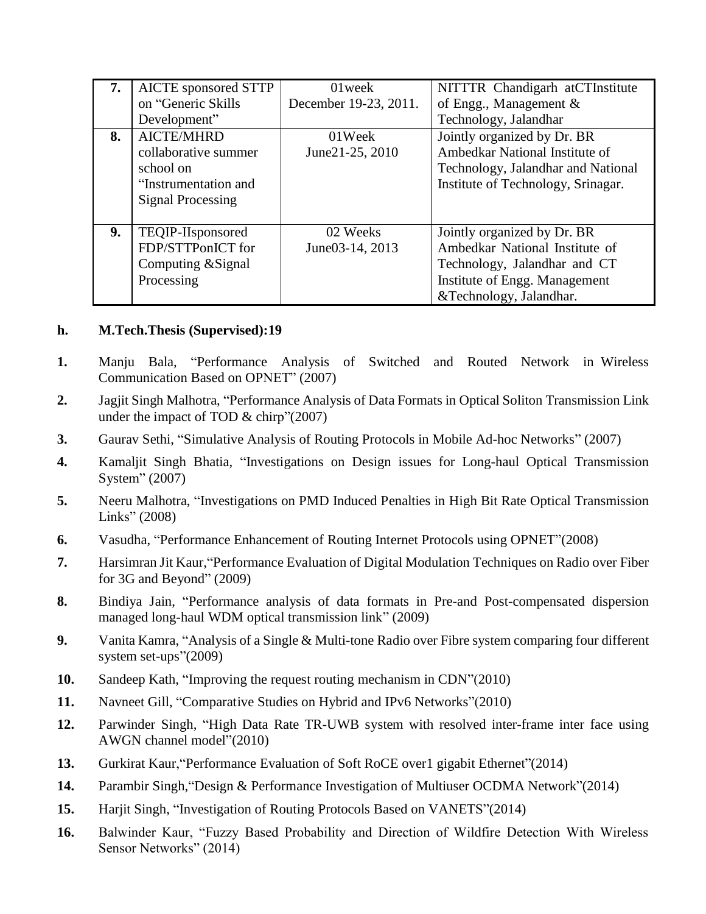| 7. | <b>AICTE</b> sponsored STTP | 01 week               | NITTTR Chandigarh at CTInstitute   |
|----|-----------------------------|-----------------------|------------------------------------|
|    | on "Generic Skills          | December 19-23, 2011. | of Engg., Management $\&$          |
|    | Development"                |                       | Technology, Jalandhar              |
| 8. | <b>AICTE/MHRD</b>           | 01Week                | Jointly organized by Dr. BR        |
|    | collaborative summer        | June21-25, 2010       | Ambedkar National Institute of     |
|    | school on                   |                       | Technology, Jalandhar and National |
|    | "Instrumentation and        |                       | Institute of Technology, Srinagar. |
|    | <b>Signal Processing</b>    |                       |                                    |
|    |                             |                       |                                    |
| 9. | TEQIP-IIsponsored           | 02 Weeks              | Jointly organized by Dr. BR        |
|    | FDP/STTPonICT for           | June03-14, 2013       | Ambedkar National Institute of     |
|    | Computing & Signal          |                       | Technology, Jalandhar and CT       |
|    | Processing                  |                       | Institute of Engg. Management      |
|    |                             |                       | &Technology, Jalandhar.            |

#### **h. M.Tech.Thesis (Supervised):19**

- **1.** Manju Bala, "Performance Analysis of Switched and Routed Network in Wireless Communication Based on OPNET" (2007)
- **2.** Jagjit Singh Malhotra, "Performance Analysis of Data Formats in Optical Soliton Transmission Link under the impact of TOD & chirp"(2007)
- **3.** Gaurav Sethi, "Simulative Analysis of Routing Protocols in Mobile Ad-hoc Networks" (2007)
- **4.** Kamaljit Singh Bhatia, "Investigations on Design issues for Long-haul Optical Transmission System" (2007)
- **5.** Neeru Malhotra, "Investigations on PMD Induced Penalties in High Bit Rate Optical Transmission Links" (2008)
- **6.** Vasudha, "Performance Enhancement of Routing Internet Protocols using OPNET"(2008)
- **7.** Harsimran Jit Kaur,"Performance Evaluation of Digital Modulation Techniques on Radio over Fiber for 3G and Beyond" (2009)
- **8.** Bindiya Jain, "Performance analysis of data formats in Pre-and Post-compensated dispersion managed long-haul WDM optical transmission link" (2009)
- **9.** Vanita Kamra, "Analysis of a Single & Multi-tone Radio over Fibre system comparing four different system set-ups"(2009)
- **10.** Sandeep Kath, "Improving the request routing mechanism in CDN"(2010)
- **11.** Navneet Gill, "Comparative Studies on Hybrid and IPv6 Networks"(2010)
- **12.** Parwinder Singh, "High Data Rate TR-UWB system with resolved inter-frame inter face using AWGN channel model"(2010)
- **13.** Gurkirat Kaur,"Performance Evaluation of Soft RoCE over1 gigabit Ethernet"(2014)
- **14.** Parambir Singh,"Design & Performance Investigation of Multiuser OCDMA Network"(2014)
- **15.** Harjit Singh, "Investigation of Routing Protocols Based on VANETS"(2014)
- **16.** Balwinder Kaur, "Fuzzy Based Probability and Direction of Wildfire Detection With Wireless Sensor Networks" (2014)